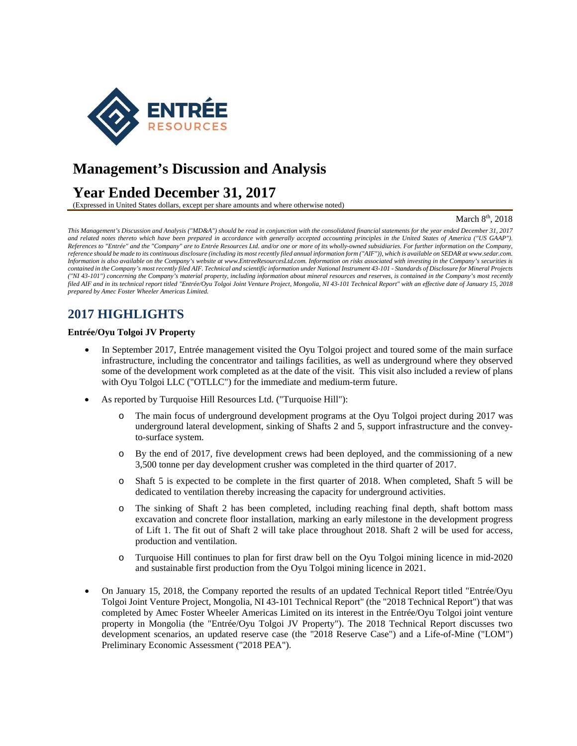

# **Management's Discussion and Analysis**

# **Year Ended December 31, 2017**

(Expressed in United States dollars, except per share amounts and where otherwise noted)

#### March 8<sup>th</sup>, 2018

*This Management's Discussion and Analysis ("MD&A") should be read in conjunction with the consolidated financial statements for the year ended December 31, 2017 and related notes thereto which have been prepared in accordance with generally accepted accounting principles in the United States of America ("US GAAP"). References to "Entrée" and the "Company" are to Entrée Resources Ltd. and/or one or more of its wholly-owned subsidiaries. For further information on the Company, reference should be made to its continuous disclosure (including its most recently filed annual information form ("AIF")), which is available on SEDAR at www.sedar.com. Information is also available on the Company's website at www.EntreeResourcesLtd.com. Information on risks associated with investing in the Company's securities is contained in the Company's most recently filed AIF. Technical and scientific information under National Instrument 43-101 - Standards of Disclosure for Mineral Projects ("NI 43-101") concerning the Company's material property, including information about mineral resources and reserves, is contained in the Company's most recently filed AIF and in its technical report titled "Entrée/Oyu Tolgoi Joint Venture Project, Mongolia, NI 43-101 Technical Report" with an effective date of January 15, 2018 prepared by Amec Foster Wheeler Americas Limited.* 

## **2017 HIGHLIGHTS**

### **Entrée/Oyu Tolgoi JV Property**

- In September 2017, Entrée management visited the Oyu Tolgoi project and toured some of the main surface infrastructure, including the concentrator and tailings facilities, as well as underground where they observed some of the development work completed as at the date of the visit. This visit also included a review of plans with Oyu Tolgoi LLC ("OTLLC") for the immediate and medium-term future.
- As reported by Turquoise Hill Resources Ltd. ("Turquoise Hill"):
	- o The main focus of underground development programs at the Oyu Tolgoi project during 2017 was underground lateral development, sinking of Shafts 2 and 5, support infrastructure and the conveyto-surface system.
	- o By the end of 2017, five development crews had been deployed, and the commissioning of a new 3,500 tonne per day development crusher was completed in the third quarter of 2017.
	- o Shaft 5 is expected to be complete in the first quarter of 2018. When completed, Shaft 5 will be dedicated to ventilation thereby increasing the capacity for underground activities.
	- o The sinking of Shaft 2 has been completed, including reaching final depth, shaft bottom mass excavation and concrete floor installation, marking an early milestone in the development progress of Lift 1. The fit out of Shaft 2 will take place throughout 2018. Shaft 2 will be used for access, production and ventilation.
	- o Turquoise Hill continues to plan for first draw bell on the Oyu Tolgoi mining licence in mid-2020 and sustainable first production from the Oyu Tolgoi mining licence in 2021.
- On January 15, 2018, the Company reported the results of an updated Technical Report titled "Entrée/Oyu Tolgoi Joint Venture Project, Mongolia, NI 43-101 Technical Report" (the "2018 Technical Report") that was completed by Amec Foster Wheeler Americas Limited on its interest in the Entrée/Oyu Tolgoi joint venture property in Mongolia (the "Entrée/Oyu Tolgoi JV Property"). The 2018 Technical Report discusses two development scenarios, an updated reserve case (the "2018 Reserve Case") and a Life-of-Mine ("LOM") Preliminary Economic Assessment ("2018 PEA").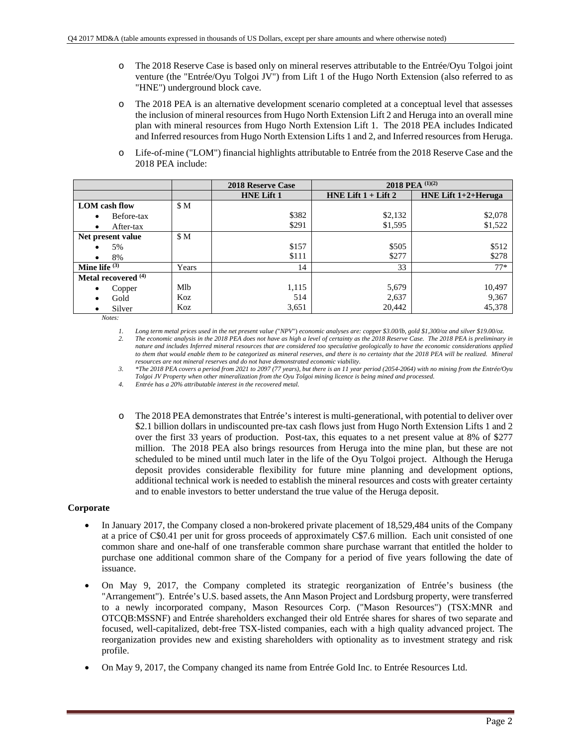- o The 2018 Reserve Case is based only on mineral reserves attributable to the Entrée/Oyu Tolgoi joint venture (the "Entrée/Oyu Tolgoi JV") from Lift 1 of the Hugo North Extension (also referred to as "HNE") underground block cave.
- o The 2018 PEA is an alternative development scenario completed at a conceptual level that assesses the inclusion of mineral resources from Hugo North Extension Lift 2 and Heruga into an overall mine plan with mineral resources from Hugo North Extension Lift 1. The 2018 PEA includes Indicated and Inferred resources from Hugo North Extension Lifts 1 and 2, and Inferred resources from Heruga.
- o Life-of-mine ("LOM") financial highlights attributable to Entrée from the 2018 Reserve Case and the 2018 PEA include:

|                                |       | <b>2018 Reserve Case</b> |                         | 2018 PEA $(1)(2)$      |
|--------------------------------|-------|--------------------------|-------------------------|------------------------|
|                                |       | <b>HNE Lift 1</b>        | HNE Lift $1 +$ Lift $2$ | HNE Lift $1+2+$ Heruga |
| <b>LOM</b> cash flow           | \$M   |                          |                         |                        |
| Before-tax                     |       | \$382                    | \$2,132                 | \$2,078                |
| After-tax<br>$\bullet$         |       | \$291                    | \$1,595                 | \$1,522                |
| Net present value              | \$M   |                          |                         |                        |
| 5%                             |       | \$157                    | \$505                   | \$512                  |
| 8%                             |       | \$111                    | \$277                   | \$278                  |
| Mine life (3)                  | Years | 14                       | 33                      | $77*$                  |
| Metal recovered <sup>(4)</sup> |       |                          |                         |                        |
| Copper<br>٠                    | Mlb   | 1,115                    | 5,679                   | 10,497                 |
| Gold                           | Koz   | 514                      | 2,637                   | 9,367                  |
| Silver                         | Koz   | 3,651                    | 20,442                  | 45,378                 |

*Notes:* 

*1. Long term metal prices used in the net present value (*"*NPV*") *economic analyses are: copper \$3.00/lb, gold \$1,300/oz and silver \$19.00/oz.* 

*2. The economic analysis in the 2018 PEA does not have as high a level of certainty as the 2018 Reserve Case. The 2018 PEA is preliminary in nature and includes Inferred mineral resources that are considered too speculative geologically to have the economic considerations applied*  to them that would enable them to be categorized as mineral reserves, and there is no certainty that the 2018 PEA will be realized. Mineral *resources are not mineral reserves and do not have demonstrated economic viability.* 

*3. \*The 2018 PEA covers a period from 2021 to 2097 (77 years), but there is an 11 year period (2054-2064) with no mining from the Entrée/Oyu Tolgoi JV Property when other mineralization from the Oyu Tolgoi mining licence is being mined and processed.* 

*4. Entrée has a 20% attributable interest in the recovered metal.* 

o The 2018 PEA demonstrates that Entrée's interest is multi-generational, with potential to deliver over \$2.1 billion dollars in undiscounted pre-tax cash flows just from Hugo North Extension Lifts 1 and 2 over the first 33 years of production. Post-tax, this equates to a net present value at 8% of \$277 million. The 2018 PEA also brings resources from Heruga into the mine plan, but these are not scheduled to be mined until much later in the life of the Oyu Tolgoi project. Although the Heruga deposit provides considerable flexibility for future mine planning and development options, additional technical work is needed to establish the mineral resources and costs with greater certainty and to enable investors to better understand the true value of the Heruga deposit.

### **Corporate**

- In January 2017, the Company closed a non-brokered private placement of 18,529,484 units of the Company at a price of C\$0.41 per unit for gross proceeds of approximately C\$7.6 million. Each unit consisted of one common share and one-half of one transferable common share purchase warrant that entitled the holder to purchase one additional common share of the Company for a period of five years following the date of issuance.
- On May 9, 2017, the Company completed its strategic reorganization of Entrée's business (the "Arrangement"). Entrée's U.S. based assets, the Ann Mason Project and Lordsburg property, were transferred to a newly incorporated company, Mason Resources Corp. ("Mason Resources") (TSX:MNR and OTCQB:MSSNF) and Entrée shareholders exchanged their old Entrée shares for shares of two separate and focused, well-capitalized, debt-free TSX-listed companies, each with a high quality advanced project. The reorganization provides new and existing shareholders with optionality as to investment strategy and risk profile.
- On May 9, 2017, the Company changed its name from Entrée Gold Inc. to Entrée Resources Ltd.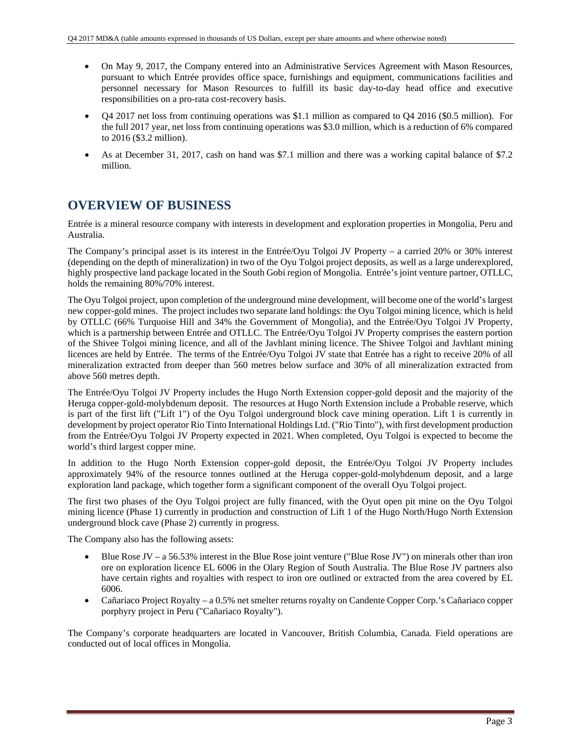- On May 9, 2017, the Company entered into an Administrative Services Agreement with Mason Resources, pursuant to which Entrée provides office space, furnishings and equipment, communications facilities and personnel necessary for Mason Resources to fulfill its basic day-to-day head office and executive responsibilities on a pro-rata cost-recovery basis.
- Q4 2017 net loss from continuing operations was \$1.1 million as compared to Q4 2016 (\$0.5 million). For the full 2017 year, net loss from continuing operations was \$3.0 million, which is a reduction of 6% compared to 2016 (\$3.2 million).
- As at December 31, 2017, cash on hand was \$7.1 million and there was a working capital balance of \$7.2 million.

# **OVERVIEW OF BUSINESS**

Entrée is a mineral resource company with interests in development and exploration properties in Mongolia, Peru and Australia.

The Company's principal asset is its interest in the Entrée/Oyu Tolgoi JV Property – a carried 20% or 30% interest (depending on the depth of mineralization) in two of the Oyu Tolgoi project deposits, as well as a large underexplored, highly prospective land package located in the South Gobi region of Mongolia. Entrée's joint venture partner, OTLLC, holds the remaining 80%/70% interest.

The Oyu Tolgoi project, upon completion of the underground mine development, will become one of the world's largest new copper-gold mines. The project includes two separate land holdings: the Oyu Tolgoi mining licence, which is held by OTLLC (66% Turquoise Hill and 34% the Government of Mongolia), and the Entrée/Oyu Tolgoi JV Property, which is a partnership between Entrée and OTLLC. The Entrée/Oyu Tolgoi JV Property comprises the eastern portion of the Shivee Tolgoi mining licence, and all of the Javhlant mining licence. The Shivee Tolgoi and Javhlant mining licences are held by Entrée. The terms of the Entrée/Oyu Tolgoi JV state that Entrée has a right to receive 20% of all mineralization extracted from deeper than 560 metres below surface and 30% of all mineralization extracted from above 560 metres depth.

The Entrée/Oyu Tolgoi JV Property includes the Hugo North Extension copper-gold deposit and the majority of the Heruga copper-gold-molybdenum deposit. The resources at Hugo North Extension include a Probable reserve, which is part of the first lift ("Lift 1") of the Oyu Tolgoi underground block cave mining operation. Lift 1 is currently in development by project operator Rio Tinto International Holdings Ltd. ("Rio Tinto"), with first development production from the Entrée/Oyu Tolgoi JV Property expected in 2021. When completed, Oyu Tolgoi is expected to become the world's third largest copper mine.

In addition to the Hugo North Extension copper-gold deposit, the Entrée/Oyu Tolgoi JV Property includes approximately 94% of the resource tonnes outlined at the Heruga copper-gold-molybdenum deposit, and a large exploration land package, which together form a significant component of the overall Oyu Tolgoi project.

The first two phases of the Oyu Tolgoi project are fully financed, with the Oyut open pit mine on the Oyu Tolgoi mining licence (Phase 1) currently in production and construction of Lift 1 of the Hugo North/Hugo North Extension underground block cave (Phase 2) currently in progress.

The Company also has the following assets:

- Blue Rose JV a 56.53% interest in the Blue Rose joint venture ("Blue Rose JV") on minerals other than iron ore on exploration licence EL 6006 in the Olary Region of South Australia. The Blue Rose JV partners also have certain rights and royalties with respect to iron ore outlined or extracted from the area covered by EL 6006.
- Cañariaco Project Royalty a 0.5% net smelter returns royalty on Candente Copper Corp.'s Cañariaco copper porphyry project in Peru ("Cañariaco Royalty").

The Company's corporate headquarters are located in Vancouver, British Columbia, Canada. Field operations are conducted out of local offices in Mongolia.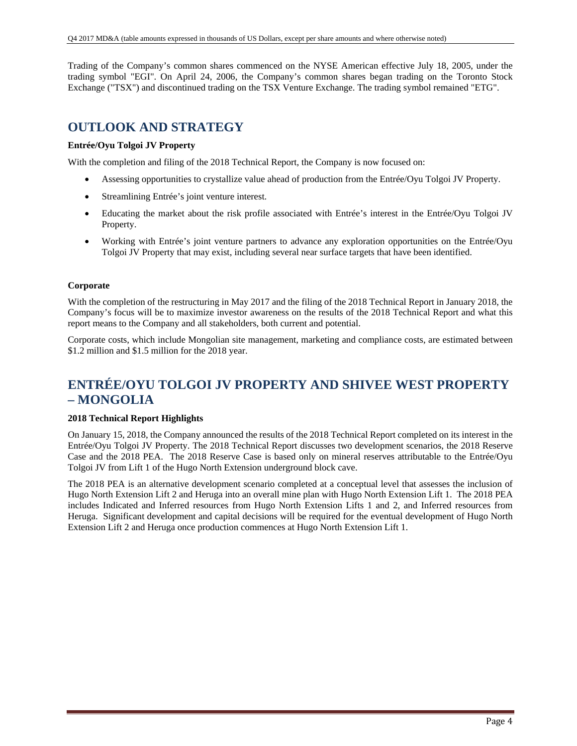Trading of the Company's common shares commenced on the NYSE American effective July 18, 2005, under the trading symbol "EGI". On April 24, 2006, the Company's common shares began trading on the Toronto Stock Exchange ("TSX") and discontinued trading on the TSX Venture Exchange. The trading symbol remained "ETG".

# **OUTLOOK AND STRATEGY**

## **Entrée/Oyu Tolgoi JV Property**

With the completion and filing of the 2018 Technical Report, the Company is now focused on:

- Assessing opportunities to crystallize value ahead of production from the Entrée/Oyu Tolgoi JV Property.
- Streamlining Entrée's joint venture interest.
- Educating the market about the risk profile associated with Entrée's interest in the Entrée/Oyu Tolgoi JV Property.
- Working with Entrée's joint venture partners to advance any exploration opportunities on the Entrée/Oyu Tolgoi JV Property that may exist, including several near surface targets that have been identified.

## **Corporate**

With the completion of the restructuring in May 2017 and the filing of the 2018 Technical Report in January 2018, the Company's focus will be to maximize investor awareness on the results of the 2018 Technical Report and what this report means to the Company and all stakeholders, both current and potential.

Corporate costs, which include Mongolian site management, marketing and compliance costs, are estimated between \$1.2 million and \$1.5 million for the 2018 year.

# **ENTRÉE/OYU TOLGOI JV PROPERTY AND SHIVEE WEST PROPERTY – MONGOLIA**

### **2018 Technical Report Highlights**

On January 15, 2018, the Company announced the results of the 2018 Technical Report completed on its interest in the Entrée/Oyu Tolgoi JV Property. The 2018 Technical Report discusses two development scenarios, the 2018 Reserve Case and the 2018 PEA. The 2018 Reserve Case is based only on mineral reserves attributable to the Entrée/Oyu Tolgoi JV from Lift 1 of the Hugo North Extension underground block cave.

The 2018 PEA is an alternative development scenario completed at a conceptual level that assesses the inclusion of Hugo North Extension Lift 2 and Heruga into an overall mine plan with Hugo North Extension Lift 1. The 2018 PEA includes Indicated and Inferred resources from Hugo North Extension Lifts 1 and 2, and Inferred resources from Heruga. Significant development and capital decisions will be required for the eventual development of Hugo North Extension Lift 2 and Heruga once production commences at Hugo North Extension Lift 1.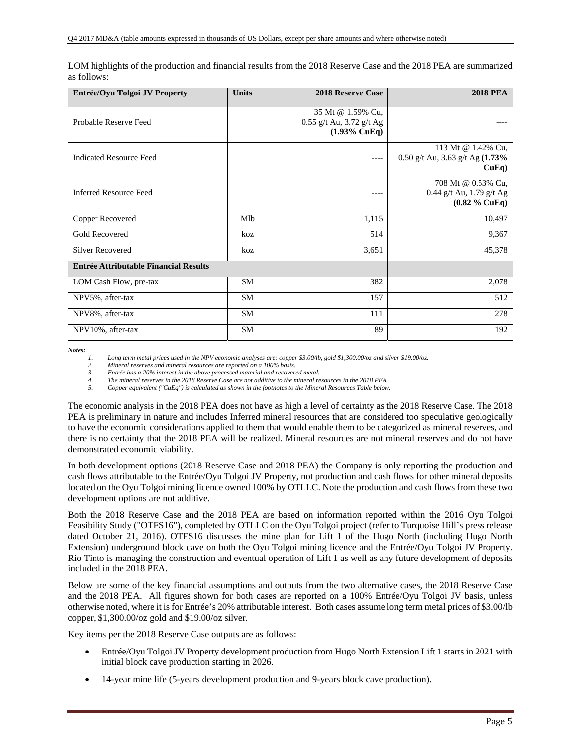LOM highlights of the production and financial results from the 2018 Reserve Case and the 2018 PEA are summarized as follows:

| Entrée/Oyu Tolgoi JV Property                | <b>Units</b> | 2018 Reserve Case                                                            | <b>2018 PEA</b>                                                    |
|----------------------------------------------|--------------|------------------------------------------------------------------------------|--------------------------------------------------------------------|
| Probable Reserve Feed                        |              | 35 Mt @ 1.59% Cu,<br>$0.55$ g/t Au, $3.72$ g/t Ag<br>$(1.93\% \text{ CuEq})$ |                                                                    |
| <b>Indicated Resource Feed</b>               |              | $---$                                                                        | 113 Mt @ 1.42% Cu,<br>0.50 g/t Au, 3.63 g/t Ag (1.73%<br>$CuEq$ )  |
| <b>Inferred Resource Feed</b>                |              | ----                                                                         | 708 Mt @ 0.53% Cu,<br>0.44 g/t Au, 1.79 g/t Ag<br>$(0.82 \%$ CuEq) |
| Copper Recovered                             | Mlb          | 1,115                                                                        | 10,497                                                             |
| <b>Gold Recovered</b>                        | koz          | 514                                                                          | 9,367                                                              |
| <b>Silver Recovered</b>                      | koz          | 3,651                                                                        | 45,378                                                             |
| <b>Entrée Attributable Financial Results</b> |              |                                                                              |                                                                    |
| LOM Cash Flow, pre-tax                       | \$M          | 382                                                                          | 2,078                                                              |
| NPV5%, after-tax                             | \$M          | 157                                                                          | 512                                                                |
| NPV8%, after-tax                             | \$M          | 111                                                                          | 278                                                                |
| NPV10%, after-tax                            | \$M          | 89                                                                           | 192                                                                |

*Notes:* 

*1. Long term metal prices used in the NPV economic analyses are: copper \$3.00/lb, gold \$1,300.00/oz and silver \$19.00/oz.* 

*2. Mineral reserves and mineral resources are reported on a 100% basis.* 

*3. Entrée has a 20% interest in the above processed material and recovered metal.* 

*4. The mineral reserves in the 2018 Reserve Case are not additive to the mineral resources in the 2018 PEA.* 

*5. Copper equivalent ("CuEq") is calculated as shown in the footnotes to the Mineral Resources Table below.* 

The economic analysis in the 2018 PEA does not have as high a level of certainty as the 2018 Reserve Case. The 2018 PEA is preliminary in nature and includes Inferred mineral resources that are considered too speculative geologically to have the economic considerations applied to them that would enable them to be categorized as mineral reserves, and there is no certainty that the 2018 PEA will be realized. Mineral resources are not mineral reserves and do not have demonstrated economic viability.

In both development options (2018 Reserve Case and 2018 PEA) the Company is only reporting the production and cash flows attributable to the Entrée/Oyu Tolgoi JV Property, not production and cash flows for other mineral deposits located on the Oyu Tolgoi mining licence owned 100% by OTLLC. Note the production and cash flows from these two development options are not additive.

Both the 2018 Reserve Case and the 2018 PEA are based on information reported within the 2016 Oyu Tolgoi Feasibility Study ("OTFS16"), completed by OTLLC on the Oyu Tolgoi project (refer to Turquoise Hill's press release dated October 21, 2016). OTFS16 discusses the mine plan for Lift 1 of the Hugo North (including Hugo North Extension) underground block cave on both the Oyu Tolgoi mining licence and the Entrée/Oyu Tolgoi JV Property. Rio Tinto is managing the construction and eventual operation of Lift 1 as well as any future development of deposits included in the 2018 PEA.

Below are some of the key financial assumptions and outputs from the two alternative cases, the 2018 Reserve Case and the 2018 PEA. All figures shown for both cases are reported on a 100% Entrée/Oyu Tolgoi JV basis, unless otherwise noted, where it is for Entrée's 20% attributable interest. Both cases assume long term metal prices of \$3.00/lb copper, \$1,300.00/oz gold and \$19.00/oz silver.

Key items per the 2018 Reserve Case outputs are as follows:

- Entrée/Oyu Tolgoi JV Property development production from Hugo North Extension Lift 1 starts in 2021 with initial block cave production starting in 2026.
- 14-year mine life (5-years development production and 9-years block cave production).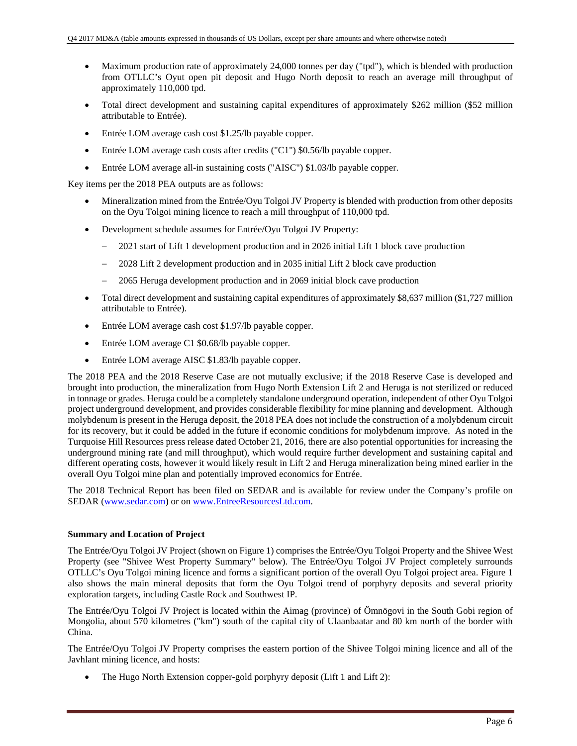- Maximum production rate of approximately 24,000 tonnes per day ("tpd"), which is blended with production from OTLLC's Oyut open pit deposit and Hugo North deposit to reach an average mill throughput of approximately 110,000 tpd.
- Total direct development and sustaining capital expenditures of approximately \$262 million (\$52 million attributable to Entrée).
- Entrée LOM average cash cost \$1.25/lb payable copper.
- Entrée LOM average cash costs after credits ("C1") \$0.56/lb payable copper.
- Entrée LOM average all-in sustaining costs ("AISC") \$1.03/lb payable copper.

Key items per the 2018 PEA outputs are as follows:

- Mineralization mined from the Entrée/Oyu Tolgoi JV Property is blended with production from other deposits on the Oyu Tolgoi mining licence to reach a mill throughput of 110,000 tpd.
- Development schedule assumes for Entrée/Oyu Tolgoi JV Property:
	- 2021 start of Lift 1 development production and in 2026 initial Lift 1 block cave production
	- 2028 Lift 2 development production and in 2035 initial Lift 2 block cave production
	- 2065 Heruga development production and in 2069 initial block cave production
- Total direct development and sustaining capital expenditures of approximately \$8,637 million (\$1,727 million attributable to Entrée).
- Entrée LOM average cash cost \$1.97/lb payable copper.
- Entrée LOM average C1 \$0.68/lb payable copper.
- Entrée LOM average AISC \$1.83/lb payable copper.

The 2018 PEA and the 2018 Reserve Case are not mutually exclusive; if the 2018 Reserve Case is developed and brought into production, the mineralization from Hugo North Extension Lift 2 and Heruga is not sterilized or reduced in tonnage or grades. Heruga could be a completely standalone underground operation, independent of other Oyu Tolgoi project underground development, and provides considerable flexibility for mine planning and development. Although molybdenum is present in the Heruga deposit, the 2018 PEA does not include the construction of a molybdenum circuit for its recovery, but it could be added in the future if economic conditions for molybdenum improve. As noted in the Turquoise Hill Resources press release dated October 21, 2016, there are also potential opportunities for increasing the underground mining rate (and mill throughput), which would require further development and sustaining capital and different operating costs, however it would likely result in Lift 2 and Heruga mineralization being mined earlier in the overall Oyu Tolgoi mine plan and potentially improved economics for Entrée.

The 2018 Technical Report has been filed on SEDAR and is available for review under the Company's profile on SEDAR (www.sedar.com) or on www.EntreeResourcesLtd.com.

### **Summary and Location of Project**

The Entrée/Oyu Tolgoi JV Project (shown on Figure 1) comprises the Entrée/Oyu Tolgoi Property and the Shivee West Property (see "Shivee West Property Summary" below). The Entrée/Oyu Tolgoi JV Project completely surrounds OTLLC's Oyu Tolgoi mining licence and forms a significant portion of the overall Oyu Tolgoi project area. Figure 1 also shows the main mineral deposits that form the Oyu Tolgoi trend of porphyry deposits and several priority exploration targets, including Castle Rock and Southwest IP.

The Entrée/Oyu Tolgoi JV Project is located within the Aimag (province) of Ömnögovi in the South Gobi region of Mongolia, about 570 kilometres ("km") south of the capital city of Ulaanbaatar and 80 km north of the border with China.

The Entrée/Oyu Tolgoi JV Property comprises the eastern portion of the Shivee Tolgoi mining licence and all of the Javhlant mining licence, and hosts:

The Hugo North Extension copper-gold porphyry deposit (Lift 1 and Lift 2):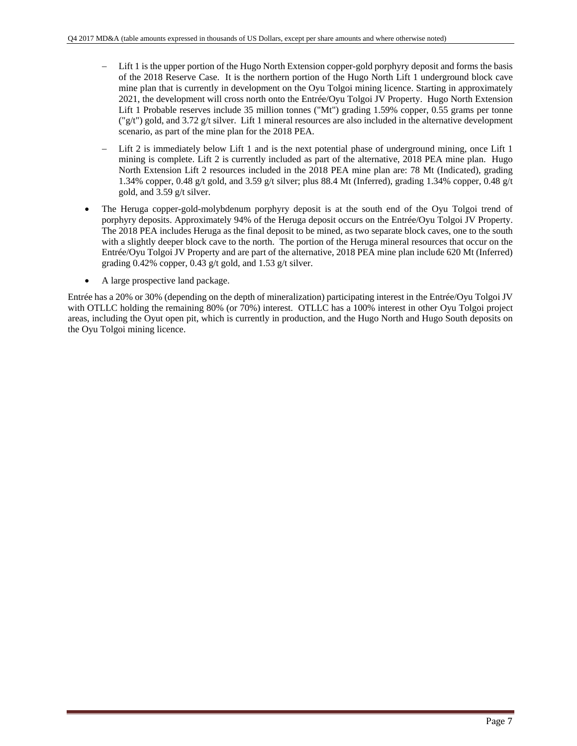- Lift 1 is the upper portion of the Hugo North Extension copper-gold porphyry deposit and forms the basis of the 2018 Reserve Case. It is the northern portion of the Hugo North Lift 1 underground block cave mine plan that is currently in development on the Oyu Tolgoi mining licence. Starting in approximately 2021, the development will cross north onto the Entrée/Oyu Tolgoi JV Property. Hugo North Extension Lift 1 Probable reserves include 35 million tonnes ("Mt") grading 1.59% copper, 0.55 grams per tonne ("g/t") gold, and 3.72 g/t silver. Lift 1 mineral resources are also included in the alternative development scenario, as part of the mine plan for the 2018 PEA.
- Lift 2 is immediately below Lift 1 and is the next potential phase of underground mining, once Lift 1 mining is complete. Lift 2 is currently included as part of the alternative, 2018 PEA mine plan. Hugo North Extension Lift 2 resources included in the 2018 PEA mine plan are: 78 Mt (Indicated), grading 1.34% copper, 0.48 g/t gold, and 3.59 g/t silver; plus 88.4 Mt (Inferred), grading 1.34% copper, 0.48 g/t gold, and 3.59 g/t silver.
- The Heruga copper-gold-molybdenum porphyry deposit is at the south end of the Oyu Tolgoi trend of porphyry deposits. Approximately 94% of the Heruga deposit occurs on the Entrée/Oyu Tolgoi JV Property. The 2018 PEA includes Heruga as the final deposit to be mined, as two separate block caves, one to the south with a slightly deeper block cave to the north. The portion of the Heruga mineral resources that occur on the Entrée/Oyu Tolgoi JV Property and are part of the alternative, 2018 PEA mine plan include 620 Mt (Inferred) grading 0.42% copper, 0.43 g/t gold, and 1.53 g/t silver.
- A large prospective land package.

Entrée has a 20% or 30% (depending on the depth of mineralization) participating interest in the Entrée/Oyu Tolgoi JV with OTLLC holding the remaining 80% (or 70%) interest. OTLLC has a 100% interest in other Oyu Tolgoi project areas, including the Oyut open pit, which is currently in production, and the Hugo North and Hugo South deposits on the Oyu Tolgoi mining licence.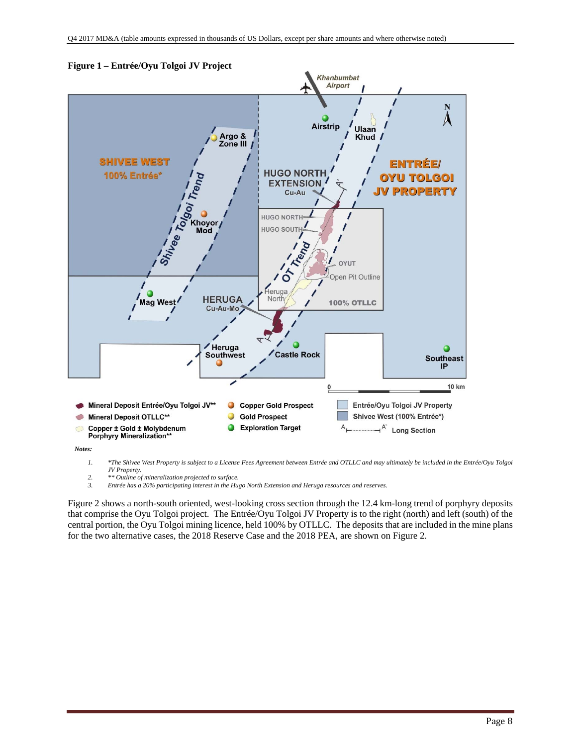

**Figure 1 – Entrée/Oyu Tolgoi JV Project** 

*Notes:* 

*1. \*The Shivee West Property is subject to a License Fees Agreement between Entrée and OTLLC and may ultimately be included in the Entrée/Oyu Tolgoi JV Property.* 

*2. \*\* Outline of mineralization projected to surface.* 

*3. Entrée has a 20% participating interest in the Hugo North Extension and Heruga resources and reserves.* 

Figure 2 shows a north-south oriented, west-looking cross section through the 12.4 km-long trend of porphyry deposits that comprise the Oyu Tolgoi project. The Entrée/Oyu Tolgoi JV Property is to the right (north) and left (south) of the central portion, the Oyu Tolgoi mining licence, held 100% by OTLLC. The deposits that are included in the mine plans for the two alternative cases, the 2018 Reserve Case and the 2018 PEA, are shown on Figure 2.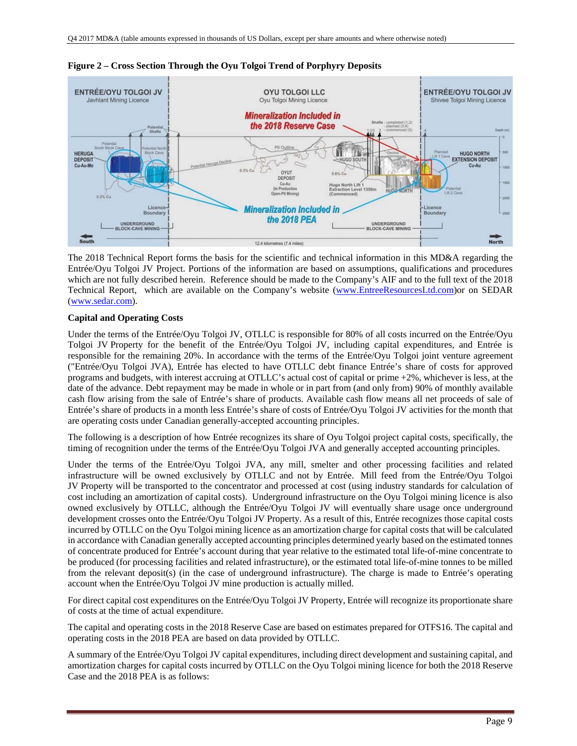

**Figure 2 – Cross Section Through the Oyu Tolgoi Trend of Porphyry Deposits** 

The 2018 Technical Report forms the basis for the scientific and technical information in this MD&A regarding the Entrée/Oyu Tolgoi JV Project. Portions of the information are based on assumptions, qualifications and procedures which are not fully described herein. Reference should be made to the Company's AIF and to the full text of the 2018 Technical Report, which are available on the Company's website (www.EntreeResourcesLtd.com)or on SEDAR (www.sedar.com).

### **Capital and Operating Costs**

Under the terms of the Entrée/Oyu Tolgoi JV, OTLLC is responsible for 80% of all costs incurred on the Entrée/Oyu Tolgoi JV Property for the benefit of the Entrée/Oyu Tolgoi JV, including capital expenditures, and Entrée is responsible for the remaining 20%. In accordance with the terms of the Entrée/Oyu Tolgoi joint venture agreement ("Entrée/Oyu Tolgoi JVA), Entrée has elected to have OTLLC debt finance Entrée's share of costs for approved programs and budgets, with interest accruing at OTLLC's actual cost of capital or prime +2%, whichever is less, at the date of the advance. Debt repayment may be made in whole or in part from (and only from) 90% of monthly available cash flow arising from the sale of Entrée's share of products. Available cash flow means all net proceeds of sale of Entrée's share of products in a month less Entrée's share of costs of Entrée/Oyu Tolgoi JV activities for the month that are operating costs under Canadian generally-accepted accounting principles.

The following is a description of how Entrée recognizes its share of Oyu Tolgoi project capital costs, specifically, the timing of recognition under the terms of the Entrée/Oyu Tolgoi JVA and generally accepted accounting principles.

Under the terms of the Entrée/Oyu Tolgoi JVA, any mill, smelter and other processing facilities and related infrastructure will be owned exclusively by OTLLC and not by Entrée. Mill feed from the Entrée/Oyu Tolgoi JV Property will be transported to the concentrator and processed at cost (using industry standards for calculation of cost including an amortization of capital costs). Underground infrastructure on the Oyu Tolgoi mining licence is also owned exclusively by OTLLC, although the Entrée/Oyu Tolgoi JV will eventually share usage once underground development crosses onto the Entrée/Oyu Tolgoi JV Property. As a result of this, Entrée recognizes those capital costs incurred by OTLLC on the Oyu Tolgoi mining licence as an amortization charge for capital costs that will be calculated in accordance with Canadian generally accepted accounting principles determined yearly based on the estimated tonnes of concentrate produced for Entrée's account during that year relative to the estimated total life-of-mine concentrate to be produced (for processing facilities and related infrastructure), or the estimated total life-of-mine tonnes to be milled from the relevant deposit(s) (in the case of underground infrastructure). The charge is made to Entrée's operating account when the Entrée/Oyu Tolgoi JV mine production is actually milled.

For direct capital cost expenditures on the Entrée/Oyu Tolgoi JV Property, Entrée will recognize its proportionate share of costs at the time of actual expenditure.

The capital and operating costs in the 2018 Reserve Case are based on estimates prepared for OTFS16. The capital and operating costs in the 2018 PEA are based on data provided by OTLLC.

A summary of the Entrée/Oyu Tolgoi JV capital expenditures, including direct development and sustaining capital, and amortization charges for capital costs incurred by OTLLC on the Oyu Tolgoi mining licence for both the 2018 Reserve Case and the 2018 PEA is as follows: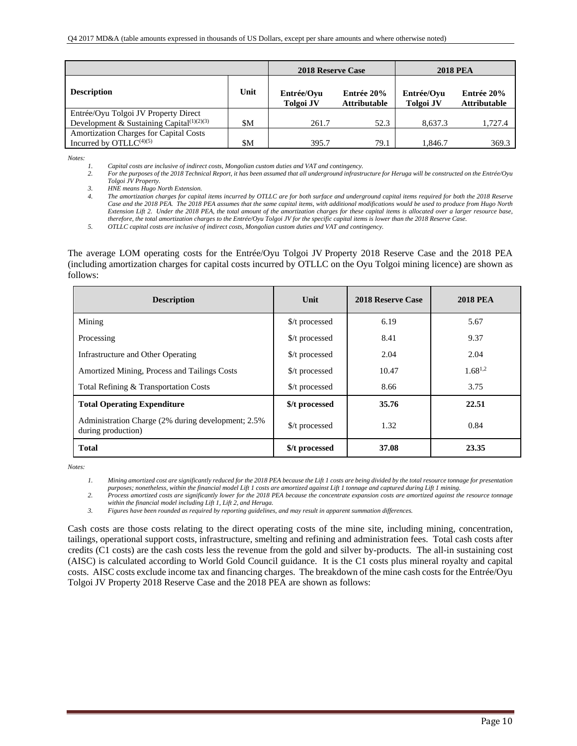|                                                       |      | <b>2018 Reserve Case</b>       |                                   | <b>2018 PEA</b>                |                                   |  |
|-------------------------------------------------------|------|--------------------------------|-----------------------------------|--------------------------------|-----------------------------------|--|
| <b>Description</b>                                    | Unit | Entrée/Ovu<br><b>Tolgoi JV</b> | Entrée 20%<br><b>Attributable</b> | Entrée/Ovu<br><b>Tolgoi JV</b> | Entrée 20%<br><b>Attributable</b> |  |
| Entrée/Oyu Tolgoi JV Property Direct                  |      |                                |                                   |                                |                                   |  |
| Development & Sustaining Capital <sup>(1)(2)(3)</sup> | \$Μ  | 261.7                          | 52.3                              | 8.637.3                        | 1.727.4                           |  |
| Amortization Charges for Capital Costs                |      |                                |                                   |                                |                                   |  |
| Incurred by $\text{OTLLC}^{(4)(5)}$                   | \$M  | 395.7                          | 79.1                              | 1.846.7                        | 369.3                             |  |

*Notes:* 

*1. Capital costs are inclusive of indirect costs, Mongolian custom duties and VAT and contingency.* 

*2. For the purposes of the 2018 Technical Report, it has been assumed that all underground infrastructure for Heruga will be constructed on the Entrée/Oyu Tolgoi JV Property.* 

*3. HNE means Hugo North Extension.* 

*4. The amortization charges for capital items incurred by OTLLC are for both surface and underground capital items required for both the 2018 Reserve Case and the 2018 PEA. The 2018 PEA assumes that the same capital items, with additional modifications would be used to produce from Hugo North Extension Lift 2. Under the 2018 PEA, the total amount of the amortization charges for these capital items is allocated over a larger resource base, therefore, the total amortization charges to the Entrée/Oyu Tolgoi JV for the specific capital items is lower than the 2018 Reserve Case.* 

*5. OTLLC capital costs are inclusive of indirect costs, Mongolian custom duties and VAT and contingency.* 

The average LOM operating costs for the Entrée/Oyu Tolgoi JV Property 2018 Reserve Case and the 2018 PEA (including amortization charges for capital costs incurred by OTLLC on the Oyu Tolgoi mining licence) are shown as follows:

| <b>Description</b>                                                       | Unit           | 2018 Reserve Case | <b>2018 PEA</b> |
|--------------------------------------------------------------------------|----------------|-------------------|-----------------|
| Mining                                                                   | \$/t processed | 6.19              | 5.67            |
| Processing                                                               | \$/t processed | 8.41              | 9.37            |
| Infrastructure and Other Operating                                       | \$/t processed | 2.04              | 2.04            |
| Amortized Mining, Process and Tailings Costs                             | \$/t processed | 10.47             | $1.68^{1,2}$    |
| Total Refining & Transportation Costs                                    | \$/t processed | 8.66              | 3.75            |
| <b>Total Operating Expenditure</b>                                       | \$/t processed | 35.76             | 22.51           |
| Administration Charge (2% during development; 2.5%<br>during production) | \$/t processed | 1.32              | 0.84            |
| <b>Total</b>                                                             | \$/t processed | 37.08             | 23.35           |

*Notes:* 

*1. Mining amortized cost are significantly reduced for the 2018 PEA because the Lift 1 costs are being divided by the total resource tonnage for presentation purposes; nonetheless, within the financial model Lift 1 costs are amortized against Lift 1 tonnage and captured during Lift 1 mining.* 

*2. Process amortized costs are significantly lower for the 2018 PEA because the concentrate expansion costs are amortized against the resource tonnage within the financial model including Lift 1, Lift 2, and Heruga.* 

*3. Figures have been rounded as required by reporting guidelines, and may result in apparent summation differences.* 

Cash costs are those costs relating to the direct operating costs of the mine site, including mining, concentration, tailings, operational support costs, infrastructure, smelting and refining and administration fees. Total cash costs after credits (C1 costs) are the cash costs less the revenue from the gold and silver by-products. The all-in sustaining cost (AISC) is calculated according to World Gold Council guidance. It is the C1 costs plus mineral royalty and capital costs. AISC costs exclude income tax and financing charges. The breakdown of the mine cash costs for the Entrée/Oyu Tolgoi JV Property 2018 Reserve Case and the 2018 PEA are shown as follows: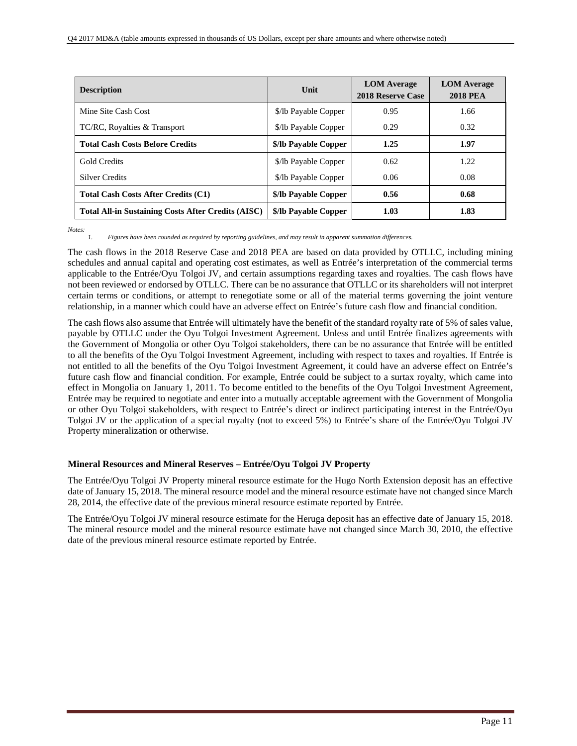| <b>Description</b>                                        | Unit                 | <b>LOM</b> Average<br><b>2018 Reserve Case</b> | <b>LOM</b> Average<br><b>2018 PEA</b> |
|-----------------------------------------------------------|----------------------|------------------------------------------------|---------------------------------------|
| Mine Site Cash Cost                                       | \$/lb Payable Copper | 0.95                                           | 1.66                                  |
| TC/RC, Royalties & Transport                              | \$/lb Payable Copper | 0.29                                           | 0.32                                  |
| <b>Total Cash Costs Before Credits</b>                    | \$/lb Payable Copper | 1.25                                           | 1.97                                  |
| Gold Credits                                              | \$/lb Payable Copper | 0.62                                           | 1.22                                  |
| <b>Silver Credits</b>                                     | \$/lb Payable Copper | 0.06                                           | 0.08                                  |
| <b>Total Cash Costs After Credits (C1)</b>                | \$/lb Payable Copper | 0.56                                           | 0.68                                  |
| <b>Total All-in Sustaining Costs After Credits (AISC)</b> | \$/lb Payable Copper | 1.03                                           | 1.83                                  |

*Notes:* 

*1. Figures have been rounded as required by reporting guidelines, and may result in apparent summation differences.* 

The cash flows in the 2018 Reserve Case and 2018 PEA are based on data provided by OTLLC, including mining schedules and annual capital and operating cost estimates, as well as Entrée's interpretation of the commercial terms applicable to the Entrée/Oyu Tolgoi JV, and certain assumptions regarding taxes and royalties. The cash flows have not been reviewed or endorsed by OTLLC. There can be no assurance that OTLLC or its shareholders will not interpret certain terms or conditions, or attempt to renegotiate some or all of the material terms governing the joint venture relationship, in a manner which could have an adverse effect on Entrée's future cash flow and financial condition.

The cash flows also assume that Entrée will ultimately have the benefit of the standard royalty rate of 5% of sales value, payable by OTLLC under the Oyu Tolgoi Investment Agreement. Unless and until Entrée finalizes agreements with the Government of Mongolia or other Oyu Tolgoi stakeholders, there can be no assurance that Entrée will be entitled to all the benefits of the Oyu Tolgoi Investment Agreement, including with respect to taxes and royalties. If Entrée is not entitled to all the benefits of the Oyu Tolgoi Investment Agreement, it could have an adverse effect on Entrée's future cash flow and financial condition. For example, Entrée could be subject to a surtax royalty, which came into effect in Mongolia on January 1, 2011. To become entitled to the benefits of the Oyu Tolgoi Investment Agreement, Entrée may be required to negotiate and enter into a mutually acceptable agreement with the Government of Mongolia or other Oyu Tolgoi stakeholders, with respect to Entrée's direct or indirect participating interest in the Entrée/Oyu Tolgoi JV or the application of a special royalty (not to exceed 5%) to Entrée's share of the Entrée/Oyu Tolgoi JV Property mineralization or otherwise.

#### **Mineral Resources and Mineral Reserves – Entrée/Oyu Tolgoi JV Property**

The Entrée/Oyu Tolgoi JV Property mineral resource estimate for the Hugo North Extension deposit has an effective date of January 15, 2018. The mineral resource model and the mineral resource estimate have not changed since March 28, 2014, the effective date of the previous mineral resource estimate reported by Entrée.

The Entrée/Oyu Tolgoi JV mineral resource estimate for the Heruga deposit has an effective date of January 15, 2018. The mineral resource model and the mineral resource estimate have not changed since March 30, 2010, the effective date of the previous mineral resource estimate reported by Entrée.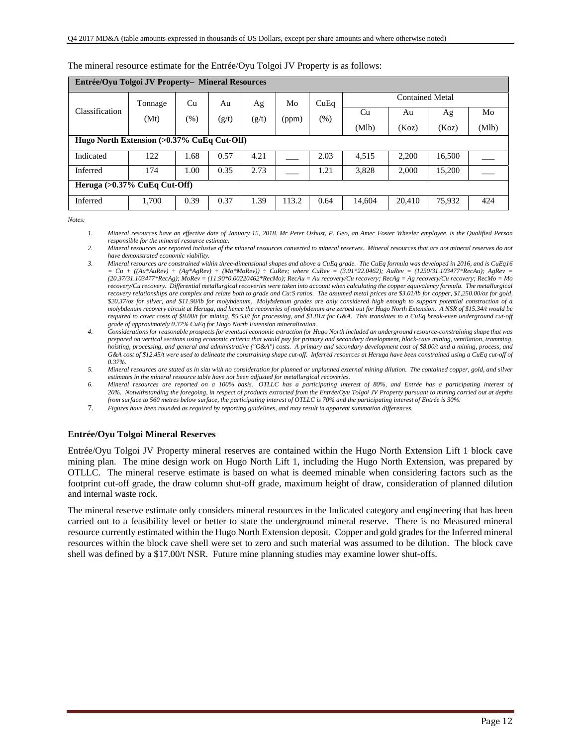| Entrée/Oyu Tolgoi JV Property- Mineral Resources |                                            |        |       |       |       |        |        |                        |        |       |
|--------------------------------------------------|--------------------------------------------|--------|-------|-------|-------|--------|--------|------------------------|--------|-------|
|                                                  | Tonnage                                    | Cu     | Au    | Ag    | Mo    | CuEq   |        | <b>Contained Metal</b> |        |       |
| Classification                                   | (Mt)                                       | $(\%)$ | (g/t) | (g/t) | (ppm) | $(\%)$ | Cu     | Au                     | Ag     | Mo    |
|                                                  |                                            |        |       |       |       |        | (Mlb)  | (Koz)                  | (Koz)  | (Mlb) |
|                                                  | Hugo North Extension (>0.37% CuEq Cut-Off) |        |       |       |       |        |        |                        |        |       |
| Indicated                                        | 122                                        | 1.68   | 0.57  | 4.21  |       | 2.03   | 4.515  | 2,200                  | 16,500 |       |
| Inferred                                         | 174                                        | 1.00   | 0.35  | 2.73  |       | 1.21   | 3,828  | 2,000                  | 15,200 |       |
| Heruga $(>0.37\%$ CuEq Cut-Off)                  |                                            |        |       |       |       |        |        |                        |        |       |
| Inferred                                         | 1,700                                      | 0.39   | 0.37  | 1.39  | 113.2 | 0.64   | 14,604 | 20.410                 | 75,932 | 424   |

The mineral resource estimate for the Entrée/Oyu Tolgoi JV Property is as follows:

*Notes:* 

*1. Mineral resources have an effective date of January 15, 2018. Mr Peter Oshust, P. Geo, an Amec Foster Wheeler employee, is the Qualified Person responsible for the mineral resource estimate.* 

*2. Mineral resources are reported inclusive of the mineral resources converted to mineral reserves. Mineral resources that are not mineral reserves do not have demonstrated economic viability.* 

- *3. Mineral resources are constrained within three-dimensional shapes and above a CuEq grade. The CuEq formula was developed in 2016, and is CuEq16*   $= Cu + ((Au*AuRev) + (Ag*AgRev) + (Mo*MoRev)) \div CuRev;$  where  $CuRev = (3.01*22.0462);$   $AuRev = (1250/31.103477*RecAu);$   $AgRev =$ *(20.37/31.103477\*RecAg); MoRev = (11.90\*0.00220462\*RecMo); RecAu = Au recovery/Cu recovery; RecAg = Ag recovery/Cu recovery; RecMo = Mo*  recovery/Cu recovery. Differential metallurgical recoveries were taken into account when calculating the copper equivalency formula. The metallurgical *recovery relationships are complex and relate both to grade and Cu:S ratios. The assumed metal prices are \$3.01/lb for copper, \$1,250.00/oz for gold, \$20.37/oz for silver, and \$11.90/lb for molybdenum. Molybdenum grades are only considered high enough to support potential construction of a molybdenum recovery circuit at Heruga, and hence the recoveries of molybdenum are zeroed out for Hugo North Extension. A NSR of \$15.34/t would be required to cover costs of \$8.00/t for mining, \$5.53/t for processing, and \$1.81/t for G&A. This translates to a CuEq break-even underground cut-off grade of approximately 0.37% CuEq for Hugo North Extension mineralization.*
- *4. Considerations for reasonable prospects for eventual economic extraction for Hugo North included an underground resource-constraining shape that was prepared on vertical sections using economic criteria that would pay for primary and secondary development, block-cave mining, ventilation, tramming, hoisting, processing, and general and administrative ("G&A") costs. A primary and secondary development cost of \$8.00/t and a mining, process, and G&A cost of \$12.45/t were used to delineate the constraining shape cut-off. Inferred resources at Heruga have been constrained using a CuEq cut-off of 0.37%.*

*5. Mineral resources are stated as in situ with no consideration for planned or unplanned external mining dilution. The contained copper, gold, and silver estimates in the mineral resource table have not been adjusted for metallurgical recoveries.* 

*6. Mineral resources are reported on a 100% basis. OTLLC has a participating interest of 80%, and Entrée has a participating interest of 20%. Notwithstanding the foregoing, in respect of products extracted from the Entrée/Oyu Tolgoi JV Property pursuant to mining carried out at depths from surface to 560 metres below surface, the participating interest of OTLLC is 70% and the participating interest of Entrée is 30%.* 

7. *Figures have been rounded as required by reporting guidelines, and may result in apparent summation differences.*

#### **Entrée/Oyu Tolgoi Mineral Reserves**

Entrée/Oyu Tolgoi JV Property mineral reserves are contained within the Hugo North Extension Lift 1 block cave mining plan. The mine design work on Hugo North Lift 1, including the Hugo North Extension, was prepared by OTLLC. The mineral reserve estimate is based on what is deemed minable when considering factors such as the footprint cut-off grade, the draw column shut-off grade, maximum height of draw, consideration of planned dilution and internal waste rock.

The mineral reserve estimate only considers mineral resources in the Indicated category and engineering that has been carried out to a feasibility level or better to state the underground mineral reserve. There is no Measured mineral resource currently estimated within the Hugo North Extension deposit. Copper and gold grades for the Inferred mineral resources within the block cave shell were set to zero and such material was assumed to be dilution. The block cave shell was defined by a \$17.00/t NSR. Future mine planning studies may examine lower shut-offs.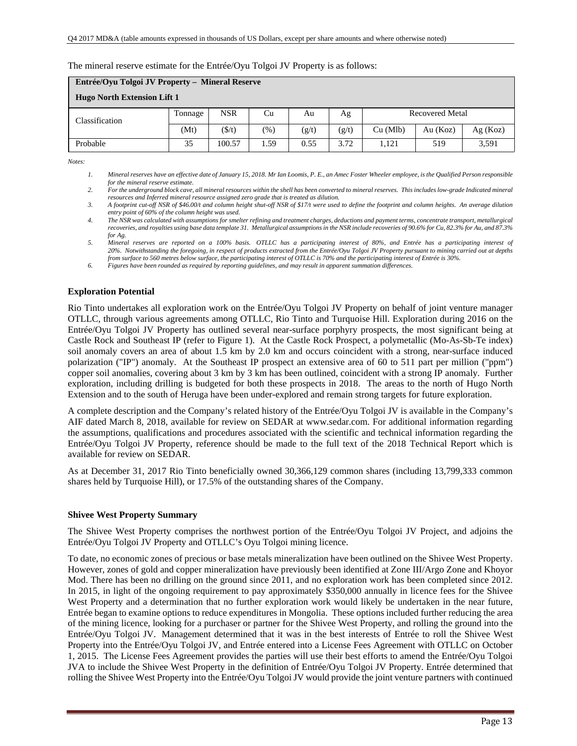The mineral reserve estimate for the Entrée/Oyu Tolgoi JV Property is as follows:

| Entrée/Oyu Tolgoi JV Property – Mineral Reserve |         |                 |        |       |       |          |                 |         |  |
|-------------------------------------------------|---------|-----------------|--------|-------|-------|----------|-----------------|---------|--|
| <b>Hugo North Extension Lift 1</b>              |         |                 |        |       |       |          |                 |         |  |
| Classification                                  | Tonnage | <b>NSR</b>      | Cu     | Au    | Ag    |          | Recovered Metal |         |  |
|                                                 | (Mt)    | $(\frac{f}{f})$ | $(\%)$ | (g/t) | (g/t) | Cu (Mlb) | Au (Koz)        | Ag(Koz) |  |
| Probable                                        | 35      | 100.57          | . . 59 | 0.55  | 3.72  | 1.121    | 519             | 3,591   |  |

*Notes:* 

*1. Mineral reserves have an effective date of January 15, 2018. Mr Ian Loomis, P. E., an Amec Foster Wheeler employee, is the Qualified Person responsible for the mineral reserve estimate.* 

*2. For the underground block cave, all mineral resources within the shell has been converted to mineral reserves. This includes low-grade Indicated mineral resources and Inferred mineral resource assigned zero grade that is treated as dilution.* 

*3. A footprint cut-off NSR of \$46.00/t and column height shut-off NSR of \$17/t were used to define the footprint and column heights. An average dilution entry point of 60% of the column height was used.* 

*4. The NSR was calculated with assumptions for smelter refining and treatment charges, deductions and payment terms, concentrate transport, metallurgical recoveries, and royalties using base data template 31. Metallurgical assumptions in the NSR include recoveries of 90.6% for Cu, 82.3% for Au, and 87.3% for Ag.* 

*5. Mineral reserves are reported on a 100% basis. OTLLC has a participating interest of 80%, and Entrée has a participating interest of 20%. Notwithstanding the foregoing, in respect of products extracted from the Entrée/Oyu Tolgoi JV Property pursuant to mining carried out at depths from surface to 560 metres below surface, the participating interest of OTLLC is 70% and the participating interest of Entrée is 30%.* 

*6. Figures have been rounded as required by reporting guidelines, and may result in apparent summation differences.* 

#### **Exploration Potential**

Rio Tinto undertakes all exploration work on the Entrée/Oyu Tolgoi JV Property on behalf of joint venture manager OTLLC, through various agreements among OTLLC, Rio Tinto and Turquoise Hill. Exploration during 2016 on the Entrée/Oyu Tolgoi JV Property has outlined several near-surface porphyry prospects, the most significant being at Castle Rock and Southeast IP (refer to Figure 1). At the Castle Rock Prospect, a polymetallic (Mo-As-Sb-Te index) soil anomaly covers an area of about 1.5 km by 2.0 km and occurs coincident with a strong, near-surface induced polarization ("IP") anomaly. At the Southeast IP prospect an extensive area of 60 to 511 part per million ("ppm") copper soil anomalies, covering about 3 km by 3 km has been outlined, coincident with a strong IP anomaly. Further exploration, including drilling is budgeted for both these prospects in 2018. The areas to the north of Hugo North Extension and to the south of Heruga have been under-explored and remain strong targets for future exploration.

A complete description and the Company's related history of the Entrée/Oyu Tolgoi JV is available in the Company's AIF dated March 8, 2018, available for review on SEDAR at www.sedar.com. For additional information regarding the assumptions, qualifications and procedures associated with the scientific and technical information regarding the Entrée/Oyu Tolgoi JV Property, reference should be made to the full text of the 2018 Technical Report which is available for review on SEDAR.

As at December 31, 2017 Rio Tinto beneficially owned 30,366,129 common shares (including 13,799,333 common shares held by Turquoise Hill), or 17.5% of the outstanding shares of the Company.

#### **Shivee West Property Summary**

The Shivee West Property comprises the northwest portion of the Entrée/Oyu Tolgoi JV Project, and adjoins the Entrée/Oyu Tolgoi JV Property and OTLLC's Oyu Tolgoi mining licence.

To date, no economic zones of precious or base metals mineralization have been outlined on the Shivee West Property. However, zones of gold and copper mineralization have previously been identified at Zone III/Argo Zone and Khoyor Mod. There has been no drilling on the ground since 2011, and no exploration work has been completed since 2012. In 2015, in light of the ongoing requirement to pay approximately \$350,000 annually in licence fees for the Shivee West Property and a determination that no further exploration work would likely be undertaken in the near future, Entrée began to examine options to reduce expenditures in Mongolia. These options included further reducing the area of the mining licence, looking for a purchaser or partner for the Shivee West Property, and rolling the ground into the Entrée/Oyu Tolgoi JV. Management determined that it was in the best interests of Entrée to roll the Shivee West Property into the Entrée/Oyu Tolgoi JV, and Entrée entered into a License Fees Agreement with OTLLC on October 1, 2015. The License Fees Agreement provides the parties will use their best efforts to amend the Entrée/Oyu Tolgoi JVA to include the Shivee West Property in the definition of Entrée/Oyu Tolgoi JV Property. Entrée determined that rolling the Shivee West Property into the Entrée/Oyu Tolgoi JV would provide the joint venture partners with continued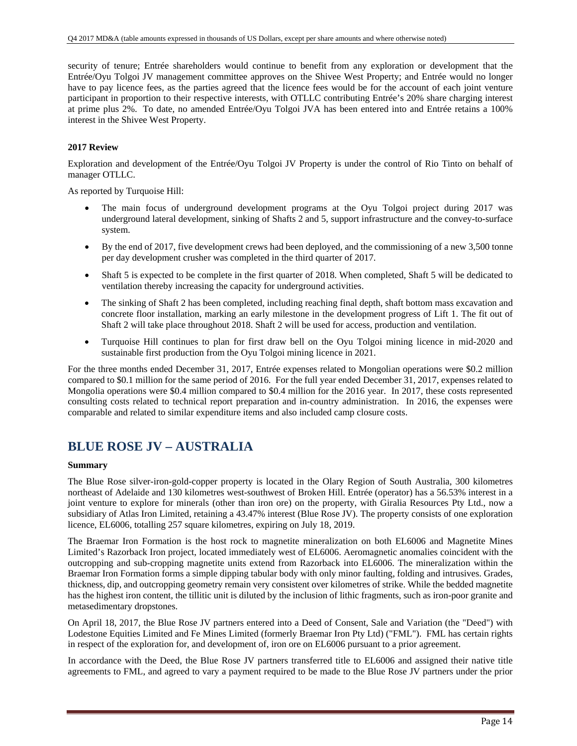security of tenure; Entrée shareholders would continue to benefit from any exploration or development that the Entrée/Oyu Tolgoi JV management committee approves on the Shivee West Property; and Entrée would no longer have to pay licence fees, as the parties agreed that the licence fees would be for the account of each joint venture participant in proportion to their respective interests, with OTLLC contributing Entrée's 20% share charging interest at prime plus 2%. To date, no amended Entrée/Oyu Tolgoi JVA has been entered into and Entrée retains a 100% interest in the Shivee West Property.

### **2017 Review**

Exploration and development of the Entrée/Oyu Tolgoi JV Property is under the control of Rio Tinto on behalf of manager OTLLC.

As reported by Turquoise Hill:

- The main focus of underground development programs at the Oyu Tolgoi project during 2017 was underground lateral development, sinking of Shafts 2 and 5, support infrastructure and the convey-to-surface system.
- By the end of 2017, five development crews had been deployed, and the commissioning of a new 3,500 tonne per day development crusher was completed in the third quarter of 2017.
- Shaft 5 is expected to be complete in the first quarter of 2018. When completed, Shaft 5 will be dedicated to ventilation thereby increasing the capacity for underground activities.
- The sinking of Shaft 2 has been completed, including reaching final depth, shaft bottom mass excavation and concrete floor installation, marking an early milestone in the development progress of Lift 1. The fit out of Shaft 2 will take place throughout 2018. Shaft 2 will be used for access, production and ventilation.
- Turquoise Hill continues to plan for first draw bell on the Oyu Tolgoi mining licence in mid-2020 and sustainable first production from the Oyu Tolgoi mining licence in 2021.

For the three months ended December 31, 2017, Entrée expenses related to Mongolian operations were \$0.2 million compared to \$0.1 million for the same period of 2016. For the full year ended December 31, 2017, expenses related to Mongolia operations were \$0.4 million compared to \$0.4 million for the 2016 year. In 2017, these costs represented consulting costs related to technical report preparation and in-country administration. In 2016, the expenses were comparable and related to similar expenditure items and also included camp closure costs.

## **BLUE ROSE JV – AUSTRALIA**

#### **Summary**

The Blue Rose silver-iron-gold-copper property is located in the Olary Region of South Australia, 300 kilometres northeast of Adelaide and 130 kilometres west-southwest of Broken Hill. Entrée (operator) has a 56.53% interest in a joint venture to explore for minerals (other than iron ore) on the property, with Giralia Resources Pty Ltd., now a subsidiary of Atlas Iron Limited, retaining a 43.47% interest (Blue Rose JV). The property consists of one exploration licence, EL6006, totalling 257 square kilometres, expiring on July 18, 2019.

The Braemar Iron Formation is the host rock to magnetite mineralization on both EL6006 and Magnetite Mines Limited's Razorback Iron project, located immediately west of EL6006. Aeromagnetic anomalies coincident with the outcropping and sub-cropping magnetite units extend from Razorback into EL6006. The mineralization within the Braemar Iron Formation forms a simple dipping tabular body with only minor faulting, folding and intrusives. Grades, thickness, dip, and outcropping geometry remain very consistent over kilometres of strike. While the bedded magnetite has the highest iron content, the tillitic unit is diluted by the inclusion of lithic fragments, such as iron-poor granite and metasedimentary dropstones.

On April 18, 2017, the Blue Rose JV partners entered into a Deed of Consent, Sale and Variation (the "Deed") with Lodestone Equities Limited and Fe Mines Limited (formerly Braemar Iron Pty Ltd) ("FML"). FML has certain rights in respect of the exploration for, and development of, iron ore on EL6006 pursuant to a prior agreement.

In accordance with the Deed, the Blue Rose JV partners transferred title to EL6006 and assigned their native title agreements to FML, and agreed to vary a payment required to be made to the Blue Rose JV partners under the prior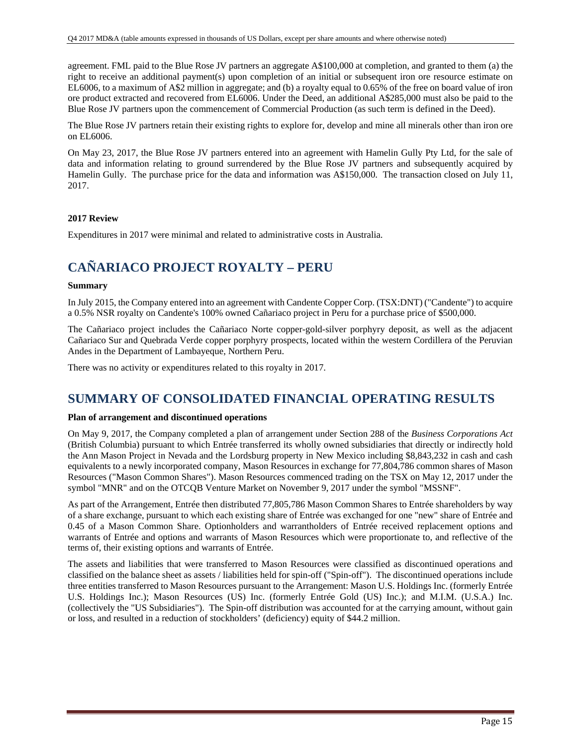agreement. FML paid to the Blue Rose JV partners an aggregate A\$100,000 at completion, and granted to them (a) the right to receive an additional payment(s) upon completion of an initial or subsequent iron ore resource estimate on EL6006, to a maximum of A\$2 million in aggregate; and (b) a royalty equal to 0.65% of the free on board value of iron ore product extracted and recovered from EL6006. Under the Deed, an additional A\$285,000 must also be paid to the Blue Rose JV partners upon the commencement of Commercial Production (as such term is defined in the Deed).

The Blue Rose JV partners retain their existing rights to explore for, develop and mine all minerals other than iron ore on EL6006.

On May 23, 2017, the Blue Rose JV partners entered into an agreement with Hamelin Gully Pty Ltd, for the sale of data and information relating to ground surrendered by the Blue Rose JV partners and subsequently acquired by Hamelin Gully. The purchase price for the data and information was A\$150,000. The transaction closed on July 11, 2017.

### **2017 Review**

Expenditures in 2017 were minimal and related to administrative costs in Australia.

# **CAÑARIACO PROJECT ROYALTY – PERU**

#### **Summary**

In July 2015, the Company entered into an agreement with Candente Copper Corp. (TSX:DNT) ("Candente") to acquire a 0.5% NSR royalty on Candente's 100% owned Cañariaco project in Peru for a purchase price of \$500,000.

The Cañariaco project includes the Cañariaco Norte copper-gold-silver porphyry deposit, as well as the adjacent Cañariaco Sur and Quebrada Verde copper porphyry prospects, located within the western Cordillera of the Peruvian Andes in the Department of Lambayeque, Northern Peru.

There was no activity or expenditures related to this royalty in 2017.

## **SUMMARY OF CONSOLIDATED FINANCIAL OPERATING RESULTS**

### **Plan of arrangement and discontinued operations**

On May 9, 2017, the Company completed a plan of arrangement under Section 288 of the *Business Corporations Act* (British Columbia) pursuant to which Entrée transferred its wholly owned subsidiaries that directly or indirectly hold the Ann Mason Project in Nevada and the Lordsburg property in New Mexico including \$8,843,232 in cash and cash equivalents to a newly incorporated company, Mason Resources in exchange for 77,804,786 common shares of Mason Resources ("Mason Common Shares"). Mason Resources commenced trading on the TSX on May 12, 2017 under the symbol "MNR" and on the OTCQB Venture Market on November 9, 2017 under the symbol "MSSNF".

As part of the Arrangement, Entrée then distributed 77,805,786 Mason Common Shares to Entrée shareholders by way of a share exchange, pursuant to which each existing share of Entrée was exchanged for one "new" share of Entrée and 0.45 of a Mason Common Share. Optionholders and warrantholders of Entrée received replacement options and warrants of Entrée and options and warrants of Mason Resources which were proportionate to, and reflective of the terms of, their existing options and warrants of Entrée.

The assets and liabilities that were transferred to Mason Resources were classified as discontinued operations and classified on the balance sheet as assets / liabilities held for spin-off ("Spin-off"). The discontinued operations include three entities transferred to Mason Resources pursuant to the Arrangement: Mason U.S. Holdings Inc. (formerly Entrée U.S. Holdings Inc.); Mason Resources (US) Inc. (formerly Entrée Gold (US) Inc.); and M.I.M. (U.S.A.) Inc. (collectively the "US Subsidiaries"). The Spin-off distribution was accounted for at the carrying amount, without gain or loss, and resulted in a reduction of stockholders' (deficiency) equity of \$44.2 million.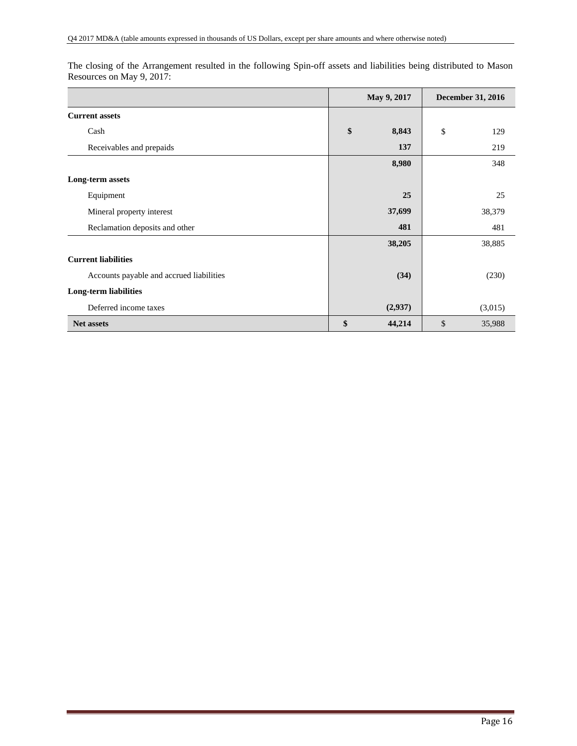The closing of the Arrangement resulted in the following Spin-off assets and liabilities being distributed to Mason Resources on May 9, 2017:

|                                          | May 9, 2017  | December 31, 2016 |
|------------------------------------------|--------------|-------------------|
| <b>Current assets</b>                    |              |                   |
| Cash                                     | \$<br>8,843  | \$<br>129         |
| Receivables and prepaids                 | 137          | 219               |
|                                          | 8,980        | 348               |
| Long-term assets                         |              |                   |
| Equipment                                | 25           | 25                |
| Mineral property interest                | 37,699       | 38,379            |
| Reclamation deposits and other           | 481          | 481               |
|                                          | 38,205       | 38,885            |
| <b>Current liabilities</b>               |              |                   |
| Accounts payable and accrued liabilities | (34)         | (230)             |
| <b>Long-term liabilities</b>             |              |                   |
| Deferred income taxes                    | (2,937)      | (3,015)           |
| <b>Net assets</b>                        | \$<br>44,214 | \$<br>35,988      |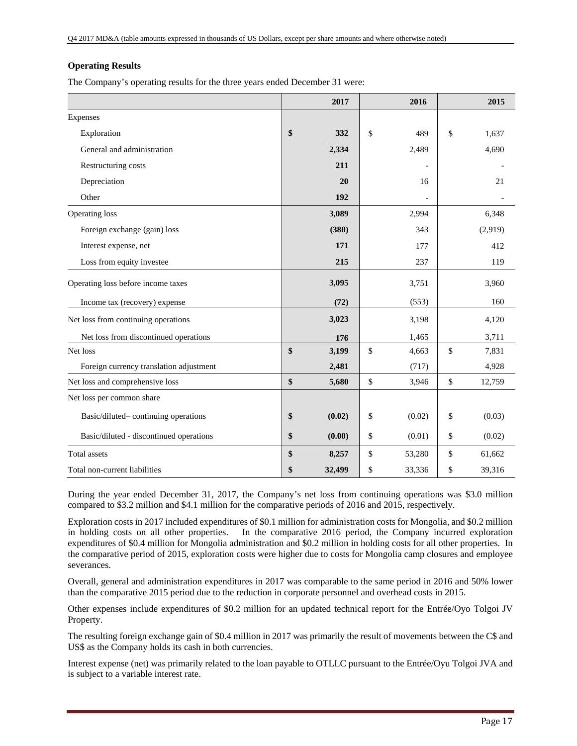## **Operating Results**

The Company's operating results for the three years ended December 31 were:

|                                         | 2017         |               | 2016   | 2015         |
|-----------------------------------------|--------------|---------------|--------|--------------|
| Expenses                                |              |               |        |              |
| Exploration                             | \$<br>332    | $\mathcal{S}$ | 489    | \$<br>1,637  |
| General and administration              | 2,334        |               | 2,489  | 4,690        |
| Restructuring costs                     | 211          |               |        |              |
| Depreciation                            | 20           |               | 16     | 21           |
| Other                                   | 192          |               |        |              |
| Operating loss                          | 3,089        |               | 2,994  | 6,348        |
| Foreign exchange (gain) loss            | (380)        |               | 343    | (2,919)      |
| Interest expense, net                   | 171          |               | 177    | 412          |
| Loss from equity investee               | 215          |               | 237    | 119          |
| Operating loss before income taxes      | 3,095        |               | 3,751  | 3,960        |
| Income tax (recovery) expense           | (72)         |               | (553)  | 160          |
| Net loss from continuing operations     | 3,023        |               | 3,198  | 4,120        |
| Net loss from discontinued operations   | 176          |               | 1,465  | 3,711        |
| Net loss                                | \$<br>3,199  | \$            | 4,663  | \$<br>7,831  |
| Foreign currency translation adjustment | 2,481        |               | (717)  | 4,928        |
| Net loss and comprehensive loss         | \$<br>5,680  | \$            | 3,946  | \$<br>12,759 |
| Net loss per common share               |              |               |        |              |
| Basic/diluted-continuing operations     | \$<br>(0.02) | \$            | (0.02) | \$<br>(0.03) |
| Basic/diluted - discontinued operations | \$<br>(0.00) | \$            | (0.01) | \$<br>(0.02) |
| <b>Total</b> assets                     | \$<br>8,257  | \$            | 53,280 | \$<br>61,662 |
| Total non-current liabilities           | \$<br>32,499 | \$            | 33,336 | \$<br>39,316 |

During the year ended December 31, 2017, the Company's net loss from continuing operations was \$3.0 million compared to \$3.2 million and \$4.1 million for the comparative periods of 2016 and 2015, respectively.

Exploration costs in 2017 included expenditures of \$0.1 million for administration costs for Mongolia, and \$0.2 million in holding costs on all other properties. In the comparative 2016 period, the Company incurred exploration expenditures of \$0.4 million for Mongolia administration and \$0.2 million in holding costs for all other properties. In the comparative period of 2015, exploration costs were higher due to costs for Mongolia camp closures and employee severances.

Overall, general and administration expenditures in 2017 was comparable to the same period in 2016 and 50% lower than the comparative 2015 period due to the reduction in corporate personnel and overhead costs in 2015.

Other expenses include expenditures of \$0.2 million for an updated technical report for the Entrée/Oyo Tolgoi JV Property.

The resulting foreign exchange gain of \$0.4 million in 2017 was primarily the result of movements between the C\$ and US\$ as the Company holds its cash in both currencies.

Interest expense (net) was primarily related to the loan payable to OTLLC pursuant to the Entrée/Oyu Tolgoi JVA and is subject to a variable interest rate.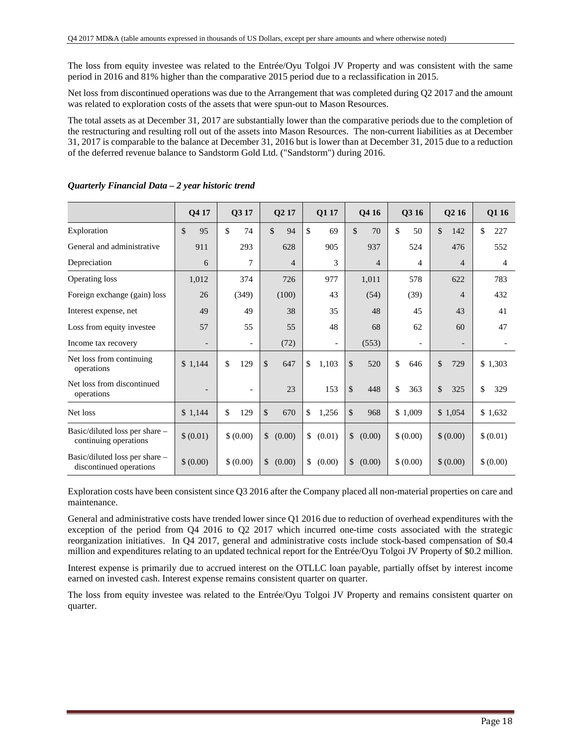The loss from equity investee was related to the Entrée/Oyu Tolgoi JV Property and was consistent with the same period in 2016 and 81% higher than the comparative 2015 period due to a reclassification in 2015.

Net loss from discontinued operations was due to the Arrangement that was completed during Q2 2017 and the amount was related to exploration costs of the assets that were spun-out to Mason Resources.

The total assets as at December 31, 2017 are substantially lower than the comparative periods due to the completion of the restructuring and resulting roll out of the assets into Mason Resources. The non-current liabilities as at December 31, 2017 is comparable to the balance at December 31, 2016 but is lower than at December 31, 2015 due to a reduction of the deferred revenue balance to Sandstorm Gold Ltd. ("Sandstorm") during 2016.

|                                                           | Q4 17                    | Q3 17                    | Q <sub>2</sub> 17      | Q1 17                    | Q4 16               | Q3 16     | Q <sub>2</sub> 16        | Q1 16     |
|-----------------------------------------------------------|--------------------------|--------------------------|------------------------|--------------------------|---------------------|-----------|--------------------------|-----------|
| Exploration                                               | $\mathcal{S}$<br>95      | \$<br>74                 | $\mathcal{S}$<br>94    | $\mathcal{S}$<br>69      | $\mathcal{S}$<br>70 | \$<br>50  | $\mathcal{S}$<br>142     | \$<br>227 |
| General and administrative                                | 911                      | 293                      | 628                    | 905                      | 937                 | 524       | 476                      | 552       |
| Depreciation                                              | 6                        | 7                        | $\overline{4}$         | 3                        | $\overline{4}$      | 4         | $\overline{4}$           | 4         |
| Operating loss                                            | 1,012                    | 374                      | 726                    | 977                      | 1,011               | 578       | 622                      | 783       |
| Foreign exchange (gain) loss                              | 26                       | (349)                    | (100)                  | 43                       | (54)                | (39)      | $\overline{4}$           | 432       |
| Interest expense, net                                     | 49                       | 49                       | 38                     | 35                       | 48                  | 45        | 43                       | 41        |
| Loss from equity investee                                 | 57                       | 55                       | 55                     | 48                       | 68                  | 62        | 60                       | 47        |
| Income tax recovery                                       | $\overline{\phantom{a}}$ | $\overline{\phantom{a}}$ | (72)                   | $\overline{\phantom{a}}$ | (553)               | ٠         | $\overline{\phantom{a}}$ |           |
| Net loss from continuing.<br>operations                   | \$1,144                  | \$<br>129                | \$<br>647              | \$<br>1,103              | \$<br>520           | \$<br>646 | \$<br>729                | \$1,303   |
| Net loss from discontinued<br>operations                  | $\overline{\phantom{a}}$ | $\overline{\phantom{a}}$ | 23                     | 153                      | \$<br>448           | \$<br>363 | \$<br>325                | \$<br>329 |
| Net loss                                                  | \$1,144                  | \$<br>129                | \$<br>670              | \$<br>1,256              | \$<br>968           | \$1,009   | \$1,054                  | \$1,632   |
| Basic/diluted loss per share –<br>continuing operations   | \$ (0.01)                | \$ (0.00)                | \$<br>(0.00)           | \$<br>(0.01)             | \$<br>(0.00)        | \$ (0.00) | \$ (0.00)                | \$ (0.01) |
| Basic/diluted loss per share -<br>discontinued operations | \$ (0.00)                | \$ (0.00)                | $\mathbb{S}$<br>(0.00) | \$<br>(0.00)             | \$<br>(0.00)        | \$ (0.00) | \$ (0.00)                | \$ (0.00) |

| Quarterly Financial Data - 2 year historic trend |  |  |
|--------------------------------------------------|--|--|
|                                                  |  |  |

Exploration costs have been consistent since Q3 2016 after the Company placed all non-material properties on care and maintenance.

General and administrative costs have trended lower since Q1 2016 due to reduction of overhead expenditures with the exception of the period from Q4 2016 to Q2 2017 which incurred one-time costs associated with the strategic reorganization initiatives. In Q4 2017, general and administrative costs include stock-based compensation of \$0.4 million and expenditures relating to an updated technical report for the Entrée/Oyu Tolgoi JV Property of \$0.2 million.

Interest expense is primarily due to accrued interest on the OTLLC loan payable, partially offset by interest income earned on invested cash. Interest expense remains consistent quarter on quarter.

The loss from equity investee was related to the Entrée/Oyu Tolgoi JV Property and remains consistent quarter on quarter.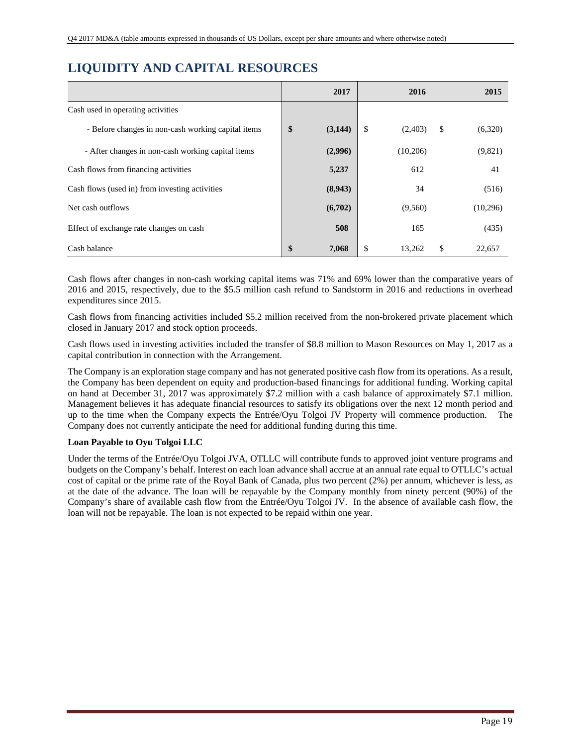# **LIQUIDITY AND CAPITAL RESOURCES**

|                                                    | 2017          | 2016          | 2015          |
|----------------------------------------------------|---------------|---------------|---------------|
| Cash used in operating activities                  |               |               |               |
| - Before changes in non-cash working capital items | \$<br>(3,144) | \$<br>(2,403) | \$<br>(6,320) |
| - After changes in non-cash working capital items  | (2,996)       | (10,206)      | (9,821)       |
| Cash flows from financing activities               | 5,237         | 612           | 41            |
| Cash flows (used in) from investing activities     | (8,943)       | 34            | (516)         |
| Net cash outflows                                  | (6,702)       | (9,560)       | (10,296)      |
| Effect of exchange rate changes on cash            | 508           | 165           | (435)         |
| Cash balance                                       | \$<br>7,068   | \$<br>13,262  | \$<br>22,657  |

Cash flows after changes in non-cash working capital items was 71% and 69% lower than the comparative years of 2016 and 2015, respectively, due to the \$5.5 million cash refund to Sandstorm in 2016 and reductions in overhead expenditures since 2015.

Cash flows from financing activities included \$5.2 million received from the non-brokered private placement which closed in January 2017 and stock option proceeds.

Cash flows used in investing activities included the transfer of \$8.8 million to Mason Resources on May 1, 2017 as a capital contribution in connection with the Arrangement.

The Company is an exploration stage company and has not generated positive cash flow from its operations. As a result, the Company has been dependent on equity and production-based financings for additional funding. Working capital on hand at December 31, 2017 was approximately \$7.2 million with a cash balance of approximately \$7.1 million. Management believes it has adequate financial resources to satisfy its obligations over the next 12 month period and up to the time when the Company expects the Entrée/Oyu Tolgoi JV Property will commence production. The Company does not currently anticipate the need for additional funding during this time.

### **Loan Payable to Oyu Tolgoi LLC**

Under the terms of the Entrée/Oyu Tolgoi JVA, OTLLC will contribute funds to approved joint venture programs and budgets on the Company's behalf. Interest on each loan advance shall accrue at an annual rate equal to OTLLC's actual cost of capital or the prime rate of the Royal Bank of Canada, plus two percent (2%) per annum, whichever is less, as at the date of the advance. The loan will be repayable by the Company monthly from ninety percent (90%) of the Company's share of available cash flow from the Entrée/Oyu Tolgoi JV. In the absence of available cash flow, the loan will not be repayable. The loan is not expected to be repaid within one year.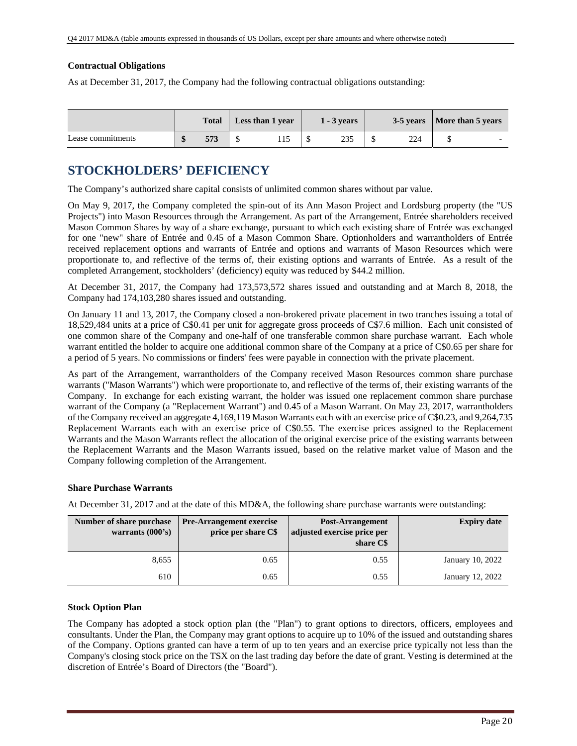## **Contractual Obligations**

As at December 31, 2017, the Company had the following contractual obligations outstanding:

|                   | <b>Total</b> | Less than 1 year | $1 - 3$ vears |     | 3-5 years   More than 5 years |  |  |
|-------------------|--------------|------------------|---------------|-----|-------------------------------|--|--|
| Lease commitments | 573          |                  |               | 235 | 224                           |  |  |

## **STOCKHOLDERS' DEFICIENCY**

The Company's authorized share capital consists of unlimited common shares without par value.

On May 9, 2017, the Company completed the spin-out of its Ann Mason Project and Lordsburg property (the "US Projects") into Mason Resources through the Arrangement. As part of the Arrangement, Entrée shareholders received Mason Common Shares by way of a share exchange, pursuant to which each existing share of Entrée was exchanged for one "new" share of Entrée and 0.45 of a Mason Common Share. Optionholders and warrantholders of Entrée received replacement options and warrants of Entrée and options and warrants of Mason Resources which were proportionate to, and reflective of the terms of, their existing options and warrants of Entrée. As a result of the completed Arrangement, stockholders' (deficiency) equity was reduced by \$44.2 million.

At December 31, 2017, the Company had 173,573,572 shares issued and outstanding and at March 8, 2018, the Company had 174,103,280 shares issued and outstanding.

On January 11 and 13, 2017, the Company closed a non-brokered private placement in two tranches issuing a total of 18,529,484 units at a price of C\$0.41 per unit for aggregate gross proceeds of C\$7.6 million. Each unit consisted of one common share of the Company and one-half of one transferable common share purchase warrant. Each whole warrant entitled the holder to acquire one additional common share of the Company at a price of C\$0.65 per share for a period of 5 years. No commissions or finders' fees were payable in connection with the private placement.

As part of the Arrangement, warrantholders of the Company received Mason Resources common share purchase warrants ("Mason Warrants") which were proportionate to, and reflective of the terms of, their existing warrants of the Company. In exchange for each existing warrant, the holder was issued one replacement common share purchase warrant of the Company (a "Replacement Warrant") and 0.45 of a Mason Warrant. On May 23, 2017, warrantholders of the Company received an aggregate 4,169,119 Mason Warrants each with an exercise price of C\$0.23, and 9,264,735 Replacement Warrants each with an exercise price of C\$0.55. The exercise prices assigned to the Replacement Warrants and the Mason Warrants reflect the allocation of the original exercise price of the existing warrants between the Replacement Warrants and the Mason Warrants issued, based on the relative market value of Mason and the Company following completion of the Arrangement.

### **Share Purchase Warrants**

At December 31, 2017 and at the date of this MD&A, the following share purchase warrants were outstanding:

| Number of share purchase<br>warrants $(000's)$ | <b>Pre-Arrangement exercise</b><br>price per share C\$ | <b>Post-Arrangement</b><br>adjusted exercise price per<br>share C\$ | <b>Expiry date</b> |
|------------------------------------------------|--------------------------------------------------------|---------------------------------------------------------------------|--------------------|
| 8,655                                          | 0.65                                                   | 0.55                                                                | January 10, 2022   |
| 610                                            | 0.65                                                   | 0.55                                                                | January 12, 2022   |

### **Stock Option Plan**

The Company has adopted a stock option plan (the "Plan") to grant options to directors, officers, employees and consultants. Under the Plan, the Company may grant options to acquire up to 10% of the issued and outstanding shares of the Company. Options granted can have a term of up to ten years and an exercise price typically not less than the Company's closing stock price on the TSX on the last trading day before the date of grant. Vesting is determined at the discretion of Entrée's Board of Directors (the "Board").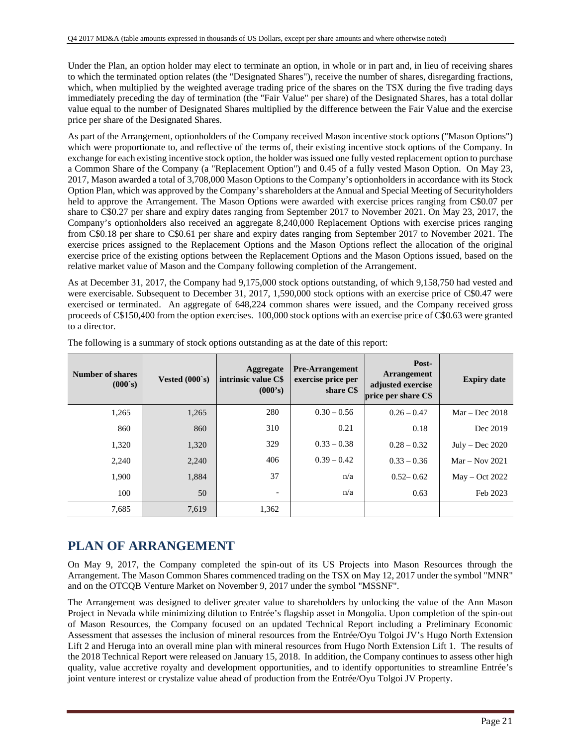Under the Plan, an option holder may elect to terminate an option, in whole or in part and, in lieu of receiving shares to which the terminated option relates (the "Designated Shares"), receive the number of shares, disregarding fractions, which, when multiplied by the weighted average trading price of the shares on the TSX during the five trading days immediately preceding the day of termination (the "Fair Value" per share) of the Designated Shares, has a total dollar value equal to the number of Designated Shares multiplied by the difference between the Fair Value and the exercise price per share of the Designated Shares.

As part of the Arrangement, optionholders of the Company received Mason incentive stock options ("Mason Options") which were proportionate to, and reflective of the terms of, their existing incentive stock options of the Company. In exchange for each existing incentive stock option, the holder was issued one fully vested replacement option to purchase a Common Share of the Company (a "Replacement Option") and 0.45 of a fully vested Mason Option. On May 23, 2017, Mason awarded a total of 3,708,000 Mason Options to the Company's optionholders in accordance with its Stock Option Plan, which was approved by the Company's shareholders at the Annual and Special Meeting of Securityholders held to approve the Arrangement. The Mason Options were awarded with exercise prices ranging from C\$0.07 per share to C\$0.27 per share and expiry dates ranging from September 2017 to November 2021. On May 23, 2017, the Company's optionholders also received an aggregate 8,240,000 Replacement Options with exercise prices ranging from C\$0.18 per share to C\$0.61 per share and expiry dates ranging from September 2017 to November 2021. The exercise prices assigned to the Replacement Options and the Mason Options reflect the allocation of the original exercise price of the existing options between the Replacement Options and the Mason Options issued, based on the relative market value of Mason and the Company following completion of the Arrangement.

As at December 31, 2017, the Company had 9,175,000 stock options outstanding, of which 9,158,750 had vested and were exercisable. Subsequent to December 31, 2017, 1,590,000 stock options with an exercise price of C\$0.47 were exercised or terminated. An aggregate of 648,224 common shares were issued, and the Company received gross proceeds of C\$150,400 from the option exercises. 100,000 stock options with an exercise price of C\$0.63 were granted to a director.

| <b>Number of shares</b><br>$(000 \text{ s})$ | Vested $(000's)$ | Aggregate<br>intrinsic value C\$<br>(000's) | <b>Pre-Arrangement</b><br>exercise price per<br>share C\$ | Post-<br><b>Arrangement</b><br>adjusted exercise<br>price per share C\$ | <b>Expiry date</b> |
|----------------------------------------------|------------------|---------------------------------------------|-----------------------------------------------------------|-------------------------------------------------------------------------|--------------------|
| 1,265                                        | 1,265            | 280                                         | $0.30 - 0.56$                                             | $0.26 - 0.47$                                                           | $Mar - Dec 2018$   |
| 860                                          | 860              | 310                                         | 0.21                                                      | 0.18                                                                    | Dec 2019           |
| 1,320                                        | 1,320            | 329                                         | $0.33 - 0.38$                                             | $0.28 - 0.32$                                                           | July – Dec $2020$  |
| 2,240                                        | 2,240            | 406                                         | $0.39 - 0.42$                                             | $0.33 - 0.36$                                                           | $Mar - Nov 2021$   |
| 1,900                                        | 1,884            | 37                                          | n/a                                                       | $0.52 - 0.62$                                                           | $May - Oct 2022$   |
| 100                                          | 50               | $\overline{\phantom{a}}$                    | n/a                                                       | 0.63                                                                    | Feb 2023           |
| 7,685                                        | 7,619            | 1,362                                       |                                                           |                                                                         |                    |

The following is a summary of stock options outstanding as at the date of this report:

# **PLAN OF ARRANGEMENT**

On May 9, 2017, the Company completed the spin-out of its US Projects into Mason Resources through the Arrangement. The Mason Common Shares commenced trading on the TSX on May 12, 2017 under the symbol "MNR" and on the OTCQB Venture Market on November 9, 2017 under the symbol "MSSNF".

The Arrangement was designed to deliver greater value to shareholders by unlocking the value of the Ann Mason Project in Nevada while minimizing dilution to Entrée's flagship asset in Mongolia. Upon completion of the spin-out of Mason Resources, the Company focused on an updated Technical Report including a Preliminary Economic Assessment that assesses the inclusion of mineral resources from the Entrée/Oyu Tolgoi JV's Hugo North Extension Lift 2 and Heruga into an overall mine plan with mineral resources from Hugo North Extension Lift 1. The results of the 2018 Technical Report were released on January 15, 2018. In addition, the Company continues to assess other high quality, value accretive royalty and development opportunities, and to identify opportunities to streamline Entrée's joint venture interest or crystalize value ahead of production from the Entrée/Oyu Tolgoi JV Property.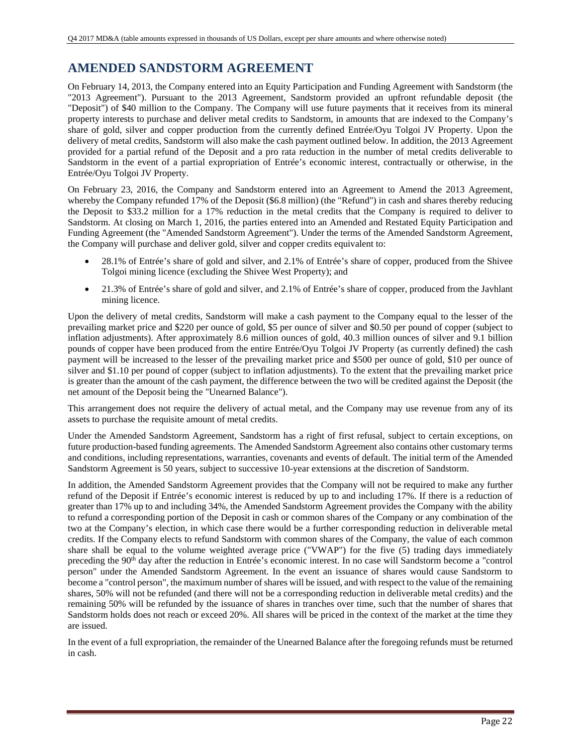# **AMENDED SANDSTORM AGREEMENT**

On February 14, 2013, the Company entered into an Equity Participation and Funding Agreement with Sandstorm (the "2013 Agreement"). Pursuant to the 2013 Agreement, Sandstorm provided an upfront refundable deposit (the "Deposit") of \$40 million to the Company. The Company will use future payments that it receives from its mineral property interests to purchase and deliver metal credits to Sandstorm, in amounts that are indexed to the Company's share of gold, silver and copper production from the currently defined Entrée/Oyu Tolgoi JV Property. Upon the delivery of metal credits, Sandstorm will also make the cash payment outlined below. In addition, the 2013 Agreement provided for a partial refund of the Deposit and a pro rata reduction in the number of metal credits deliverable to Sandstorm in the event of a partial expropriation of Entrée's economic interest, contractually or otherwise, in the Entrée/Oyu Tolgoi JV Property.

On February 23, 2016, the Company and Sandstorm entered into an Agreement to Amend the 2013 Agreement, whereby the Company refunded 17% of the Deposit (\$6.8 million) (the "Refund") in cash and shares thereby reducing the Deposit to \$33.2 million for a 17% reduction in the metal credits that the Company is required to deliver to Sandstorm. At closing on March 1, 2016, the parties entered into an Amended and Restated Equity Participation and Funding Agreement (the "Amended Sandstorm Agreement"). Under the terms of the Amended Sandstorm Agreement, the Company will purchase and deliver gold, silver and copper credits equivalent to:

- 28.1% of Entrée's share of gold and silver, and 2.1% of Entrée's share of copper, produced from the Shivee Tolgoi mining licence (excluding the Shivee West Property); and
- 21.3% of Entrée's share of gold and silver, and 2.1% of Entrée's share of copper, produced from the Javhlant mining licence.

Upon the delivery of metal credits, Sandstorm will make a cash payment to the Company equal to the lesser of the prevailing market price and \$220 per ounce of gold, \$5 per ounce of silver and \$0.50 per pound of copper (subject to inflation adjustments). After approximately 8.6 million ounces of gold, 40.3 million ounces of silver and 9.1 billion pounds of copper have been produced from the entire Entrée/Oyu Tolgoi JV Property (as currently defined) the cash payment will be increased to the lesser of the prevailing market price and \$500 per ounce of gold, \$10 per ounce of silver and \$1.10 per pound of copper (subject to inflation adjustments). To the extent that the prevailing market price is greater than the amount of the cash payment, the difference between the two will be credited against the Deposit (the net amount of the Deposit being the "Unearned Balance").

This arrangement does not require the delivery of actual metal, and the Company may use revenue from any of its assets to purchase the requisite amount of metal credits.

Under the Amended Sandstorm Agreement, Sandstorm has a right of first refusal, subject to certain exceptions, on future production-based funding agreements. The Amended Sandstorm Agreement also contains other customary terms and conditions, including representations, warranties, covenants and events of default. The initial term of the Amended Sandstorm Agreement is 50 years, subject to successive 10-year extensions at the discretion of Sandstorm.

In addition, the Amended Sandstorm Agreement provides that the Company will not be required to make any further refund of the Deposit if Entrée's economic interest is reduced by up to and including 17%. If there is a reduction of greater than 17% up to and including 34%, the Amended Sandstorm Agreement provides the Company with the ability to refund a corresponding portion of the Deposit in cash or common shares of the Company or any combination of the two at the Company's election, in which case there would be a further corresponding reduction in deliverable metal credits. If the Company elects to refund Sandstorm with common shares of the Company, the value of each common share shall be equal to the volume weighted average price ("VWAP") for the five (5) trading days immediately preceding the 90th day after the reduction in Entrée's economic interest. In no case will Sandstorm become a "control person" under the Amended Sandstorm Agreement. In the event an issuance of shares would cause Sandstorm to become a "control person", the maximum number of shares will be issued, and with respect to the value of the remaining shares, 50% will not be refunded (and there will not be a corresponding reduction in deliverable metal credits) and the remaining 50% will be refunded by the issuance of shares in tranches over time, such that the number of shares that Sandstorm holds does not reach or exceed 20%. All shares will be priced in the context of the market at the time they are issued.

In the event of a full expropriation, the remainder of the Unearned Balance after the foregoing refunds must be returned in cash.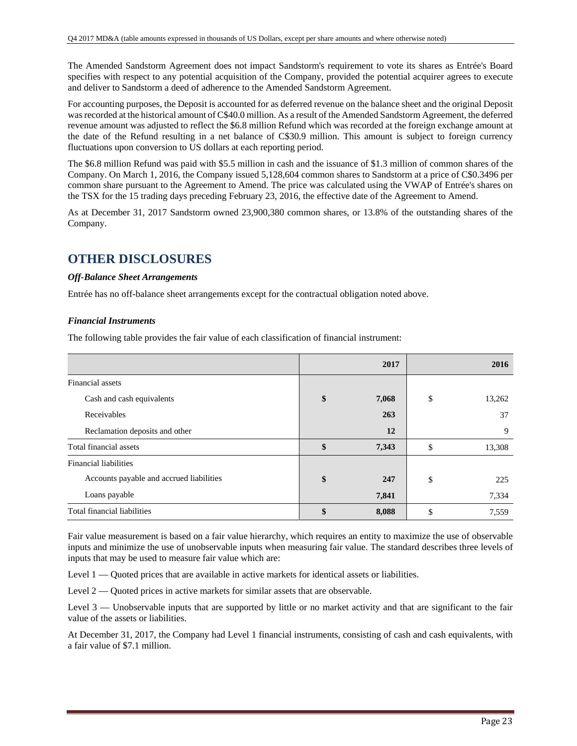The Amended Sandstorm Agreement does not impact Sandstorm's requirement to vote its shares as Entrée's Board specifies with respect to any potential acquisition of the Company, provided the potential acquirer agrees to execute and deliver to Sandstorm a deed of adherence to the Amended Sandstorm Agreement.

For accounting purposes, the Deposit is accounted for as deferred revenue on the balance sheet and the original Deposit was recorded at the historical amount of C\$40.0 million. As a result of the Amended Sandstorm Agreement, the deferred revenue amount was adjusted to reflect the \$6.8 million Refund which was recorded at the foreign exchange amount at the date of the Refund resulting in a net balance of C\$30.9 million. This amount is subject to foreign currency fluctuations upon conversion to US dollars at each reporting period.

The \$6.8 million Refund was paid with \$5.5 million in cash and the issuance of \$1.3 million of common shares of the Company. On March 1, 2016, the Company issued 5,128,604 common shares to Sandstorm at a price of C\$0.3496 per common share pursuant to the Agreement to Amend. The price was calculated using the VWAP of Entrée's shares on the TSX for the 15 trading days preceding February 23, 2016, the effective date of the Agreement to Amend.

As at December 31, 2017 Sandstorm owned 23,900,380 common shares, or 13.8% of the outstanding shares of the Company.

## **OTHER DISCLOSURES**

### *Off-Balance Sheet Arrangements*

Entrée has no off-balance sheet arrangements except for the contractual obligation noted above.

### *Financial Instruments*

The following table provides the fair value of each classification of financial instrument:

|                                          | 2017        | 2016         |
|------------------------------------------|-------------|--------------|
| Financial assets                         |             |              |
| Cash and cash equivalents                | \$<br>7,068 | \$<br>13,262 |
| Receivables                              | 263         | 37           |
| Reclamation deposits and other           | 12          | 9            |
| Total financial assets                   | \$<br>7,343 | \$<br>13,308 |
| <b>Financial liabilities</b>             |             |              |
| Accounts payable and accrued liabilities | \$<br>247   | \$<br>225    |
| Loans payable                            | 7,841       | 7,334        |
| Total financial liabilities              | \$<br>8,088 | \$<br>7,559  |

Fair value measurement is based on a fair value hierarchy, which requires an entity to maximize the use of observable inputs and minimize the use of unobservable inputs when measuring fair value. The standard describes three levels of inputs that may be used to measure fair value which are:

Level 1 — Quoted prices that are available in active markets for identical assets or liabilities.

Level 2 — Quoted prices in active markets for similar assets that are observable.

Level 3 — Unobservable inputs that are supported by little or no market activity and that are significant to the fair value of the assets or liabilities.

At December 31, 2017, the Company had Level 1 financial instruments, consisting of cash and cash equivalents, with a fair value of \$7.1 million.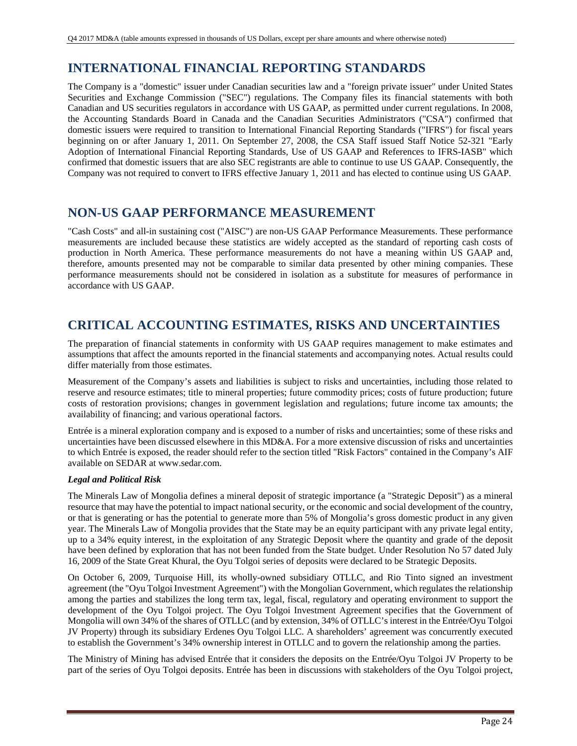## **INTERNATIONAL FINANCIAL REPORTING STANDARDS**

The Company is a "domestic" issuer under Canadian securities law and a "foreign private issuer" under United States Securities and Exchange Commission ("SEC") regulations. The Company files its financial statements with both Canadian and US securities regulators in accordance with US GAAP, as permitted under current regulations. In 2008, the Accounting Standards Board in Canada and the Canadian Securities Administrators ("CSA") confirmed that domestic issuers were required to transition to International Financial Reporting Standards ("IFRS") for fiscal years beginning on or after January 1, 2011. On September 27, 2008, the CSA Staff issued Staff Notice 52-321 "Early Adoption of International Financial Reporting Standards, Use of US GAAP and References to IFRS-IASB" which confirmed that domestic issuers that are also SEC registrants are able to continue to use US GAAP. Consequently, the Company was not required to convert to IFRS effective January 1, 2011 and has elected to continue using US GAAP.

## **NON-US GAAP PERFORMANCE MEASUREMENT**

"Cash Costs" and all-in sustaining cost ("AISC") are non-US GAAP Performance Measurements. These performance measurements are included because these statistics are widely accepted as the standard of reporting cash costs of production in North America. These performance measurements do not have a meaning within US GAAP and, therefore, amounts presented may not be comparable to similar data presented by other mining companies. These performance measurements should not be considered in isolation as a substitute for measures of performance in accordance with US GAAP.

# **CRITICAL ACCOUNTING ESTIMATES, RISKS AND UNCERTAINTIES**

The preparation of financial statements in conformity with US GAAP requires management to make estimates and assumptions that affect the amounts reported in the financial statements and accompanying notes. Actual results could differ materially from those estimates.

Measurement of the Company's assets and liabilities is subject to risks and uncertainties, including those related to reserve and resource estimates; title to mineral properties; future commodity prices; costs of future production; future costs of restoration provisions; changes in government legislation and regulations; future income tax amounts; the availability of financing; and various operational factors.

Entrée is a mineral exploration company and is exposed to a number of risks and uncertainties; some of these risks and uncertainties have been discussed elsewhere in this MD&A. For a more extensive discussion of risks and uncertainties to which Entrée is exposed, the reader should refer to the section titled "Risk Factors" contained in the Company's AIF available on SEDAR at www.sedar.com.

### *Legal and Political Risk*

The Minerals Law of Mongolia defines a mineral deposit of strategic importance (a "Strategic Deposit") as a mineral resource that may have the potential to impact national security, or the economic and social development of the country, or that is generating or has the potential to generate more than 5% of Mongolia's gross domestic product in any given year. The Minerals Law of Mongolia provides that the State may be an equity participant with any private legal entity, up to a 34% equity interest, in the exploitation of any Strategic Deposit where the quantity and grade of the deposit have been defined by exploration that has not been funded from the State budget. Under Resolution No 57 dated July 16, 2009 of the State Great Khural, the Oyu Tolgoi series of deposits were declared to be Strategic Deposits.

On October 6, 2009, Turquoise Hill, its wholly-owned subsidiary OTLLC, and Rio Tinto signed an investment agreement (the "Oyu Tolgoi Investment Agreement") with the Mongolian Government, which regulates the relationship among the parties and stabilizes the long term tax, legal, fiscal, regulatory and operating environment to support the development of the Oyu Tolgoi project. The Oyu Tolgoi Investment Agreement specifies that the Government of Mongolia will own 34% of the shares of OTLLC (and by extension, 34% of OTLLC's interest in the Entrée/Oyu Tolgoi JV Property) through its subsidiary Erdenes Oyu Tolgoi LLC. A shareholders' agreement was concurrently executed to establish the Government's 34% ownership interest in OTLLC and to govern the relationship among the parties.

The Ministry of Mining has advised Entrée that it considers the deposits on the Entrée/Oyu Tolgoi JV Property to be part of the series of Oyu Tolgoi deposits. Entrée has been in discussions with stakeholders of the Oyu Tolgoi project,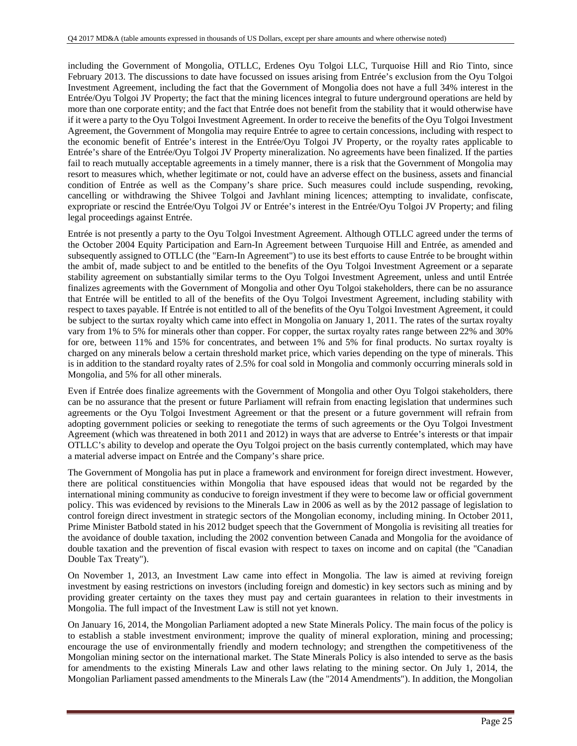including the Government of Mongolia, OTLLC, Erdenes Oyu Tolgoi LLC, Turquoise Hill and Rio Tinto, since February 2013. The discussions to date have focussed on issues arising from Entrée's exclusion from the Oyu Tolgoi Investment Agreement, including the fact that the Government of Mongolia does not have a full 34% interest in the Entrée/Oyu Tolgoi JV Property; the fact that the mining licences integral to future underground operations are held by more than one corporate entity; and the fact that Entrée does not benefit from the stability that it would otherwise have if it were a party to the Oyu Tolgoi Investment Agreement. In order to receive the benefits of the Oyu Tolgoi Investment Agreement, the Government of Mongolia may require Entrée to agree to certain concessions, including with respect to the economic benefit of Entrée's interest in the Entrée/Oyu Tolgoi JV Property, or the royalty rates applicable to Entrée's share of the Entrée/Oyu Tolgoi JV Property mineralization. No agreements have been finalized. If the parties fail to reach mutually acceptable agreements in a timely manner, there is a risk that the Government of Mongolia may resort to measures which, whether legitimate or not, could have an adverse effect on the business, assets and financial condition of Entrée as well as the Company's share price. Such measures could include suspending, revoking, cancelling or withdrawing the Shivee Tolgoi and Javhlant mining licences; attempting to invalidate, confiscate, expropriate or rescind the Entrée/Oyu Tolgoi JV or Entrée's interest in the Entrée/Oyu Tolgoi JV Property; and filing legal proceedings against Entrée.

Entrée is not presently a party to the Oyu Tolgoi Investment Agreement. Although OTLLC agreed under the terms of the October 2004 Equity Participation and Earn-In Agreement between Turquoise Hill and Entrée, as amended and subsequently assigned to OTLLC (the "Earn-In Agreement") to use its best efforts to cause Entrée to be brought within the ambit of, made subject to and be entitled to the benefits of the Oyu Tolgoi Investment Agreement or a separate stability agreement on substantially similar terms to the Oyu Tolgoi Investment Agreement, unless and until Entrée finalizes agreements with the Government of Mongolia and other Oyu Tolgoi stakeholders, there can be no assurance that Entrée will be entitled to all of the benefits of the Oyu Tolgoi Investment Agreement, including stability with respect to taxes payable. If Entrée is not entitled to all of the benefits of the Oyu Tolgoi Investment Agreement, it could be subject to the surtax royalty which came into effect in Mongolia on January 1, 2011. The rates of the surtax royalty vary from 1% to 5% for minerals other than copper. For copper, the surtax royalty rates range between 22% and 30% for ore, between 11% and 15% for concentrates, and between 1% and 5% for final products. No surtax royalty is charged on any minerals below a certain threshold market price, which varies depending on the type of minerals. This is in addition to the standard royalty rates of 2.5% for coal sold in Mongolia and commonly occurring minerals sold in Mongolia, and 5% for all other minerals.

Even if Entrée does finalize agreements with the Government of Mongolia and other Oyu Tolgoi stakeholders, there can be no assurance that the present or future Parliament will refrain from enacting legislation that undermines such agreements or the Oyu Tolgoi Investment Agreement or that the present or a future government will refrain from adopting government policies or seeking to renegotiate the terms of such agreements or the Oyu Tolgoi Investment Agreement (which was threatened in both 2011 and 2012) in ways that are adverse to Entrée's interests or that impair OTLLC's ability to develop and operate the Oyu Tolgoi project on the basis currently contemplated, which may have a material adverse impact on Entrée and the Company's share price.

The Government of Mongolia has put in place a framework and environment for foreign direct investment. However, there are political constituencies within Mongolia that have espoused ideas that would not be regarded by the international mining community as conducive to foreign investment if they were to become law or official government policy. This was evidenced by revisions to the Minerals Law in 2006 as well as by the 2012 passage of legislation to control foreign direct investment in strategic sectors of the Mongolian economy, including mining. In October 2011, Prime Minister Batbold stated in his 2012 budget speech that the Government of Mongolia is revisiting all treaties for the avoidance of double taxation, including the 2002 convention between Canada and Mongolia for the avoidance of double taxation and the prevention of fiscal evasion with respect to taxes on income and on capital (the "Canadian Double Tax Treaty").

On November 1, 2013, an Investment Law came into effect in Mongolia. The law is aimed at reviving foreign investment by easing restrictions on investors (including foreign and domestic) in key sectors such as mining and by providing greater certainty on the taxes they must pay and certain guarantees in relation to their investments in Mongolia. The full impact of the Investment Law is still not yet known.

On January 16, 2014, the Mongolian Parliament adopted a new State Minerals Policy. The main focus of the policy is to establish a stable investment environment; improve the quality of mineral exploration, mining and processing; encourage the use of environmentally friendly and modern technology; and strengthen the competitiveness of the Mongolian mining sector on the international market. The State Minerals Policy is also intended to serve as the basis for amendments to the existing Minerals Law and other laws relating to the mining sector. On July 1, 2014, the Mongolian Parliament passed amendments to the Minerals Law (the "2014 Amendments"). In addition, the Mongolian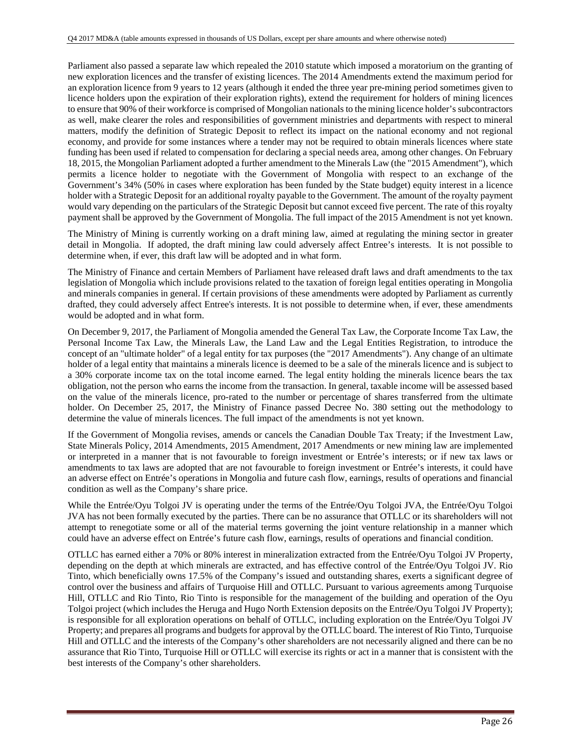Parliament also passed a separate law which repealed the 2010 statute which imposed a moratorium on the granting of new exploration licences and the transfer of existing licences. The 2014 Amendments extend the maximum period for an exploration licence from 9 years to 12 years (although it ended the three year pre-mining period sometimes given to licence holders upon the expiration of their exploration rights), extend the requirement for holders of mining licences to ensure that 90% of their workforce is comprised of Mongolian nationals to the mining licence holder's subcontractors as well, make clearer the roles and responsibilities of government ministries and departments with respect to mineral matters, modify the definition of Strategic Deposit to reflect its impact on the national economy and not regional economy, and provide for some instances where a tender may not be required to obtain minerals licences where state funding has been used if related to compensation for declaring a special needs area, among other changes. On February 18, 2015, the Mongolian Parliament adopted a further amendment to the Minerals Law (the "2015 Amendment"), which permits a licence holder to negotiate with the Government of Mongolia with respect to an exchange of the Government's 34% (50% in cases where exploration has been funded by the State budget) equity interest in a licence holder with a Strategic Deposit for an additional royalty payable to the Government. The amount of the royalty payment would vary depending on the particulars of the Strategic Deposit but cannot exceed five percent. The rate of this royalty payment shall be approved by the Government of Mongolia. The full impact of the 2015 Amendment is not yet known.

The Ministry of Mining is currently working on a draft mining law, aimed at regulating the mining sector in greater detail in Mongolia. If adopted, the draft mining law could adversely affect Entree's interests. It is not possible to determine when, if ever, this draft law will be adopted and in what form.

The Ministry of Finance and certain Members of Parliament have released draft laws and draft amendments to the tax legislation of Mongolia which include provisions related to the taxation of foreign legal entities operating in Mongolia and minerals companies in general. If certain provisions of these amendments were adopted by Parliament as currently drafted, they could adversely affect Entree's interests. It is not possible to determine when, if ever, these amendments would be adopted and in what form.

On December 9, 2017, the Parliament of Mongolia amended the General Tax Law, the Corporate Income Tax Law, the Personal Income Tax Law, the Minerals Law, the Land Law and the Legal Entities Registration, to introduce the concept of an "ultimate holder" of a legal entity for tax purposes (the "2017 Amendments"). Any change of an ultimate holder of a legal entity that maintains a minerals licence is deemed to be a sale of the minerals licence and is subject to a 30% corporate income tax on the total income earned. The legal entity holding the minerals licence bears the tax obligation, not the person who earns the income from the transaction. In general, taxable income will be assessed based on the value of the minerals licence, pro-rated to the number or percentage of shares transferred from the ultimate holder. On December 25, 2017, the Ministry of Finance passed Decree No. 380 setting out the methodology to determine the value of minerals licences. The full impact of the amendments is not yet known.

If the Government of Mongolia revises, amends or cancels the Canadian Double Tax Treaty; if the Investment Law, State Minerals Policy, 2014 Amendments, 2015 Amendment, 2017 Amendments or new mining law are implemented or interpreted in a manner that is not favourable to foreign investment or Entrée's interests; or if new tax laws or amendments to tax laws are adopted that are not favourable to foreign investment or Entrée's interests, it could have an adverse effect on Entrée's operations in Mongolia and future cash flow, earnings, results of operations and financial condition as well as the Company's share price.

While the Entrée/Oyu Tolgoi JV is operating under the terms of the Entrée/Oyu Tolgoi JVA, the Entrée/Oyu Tolgoi JVA has not been formally executed by the parties. There can be no assurance that OTLLC or its shareholders will not attempt to renegotiate some or all of the material terms governing the joint venture relationship in a manner which could have an adverse effect on Entrée's future cash flow, earnings, results of operations and financial condition.

OTLLC has earned either a 70% or 80% interest in mineralization extracted from the Entrée/Oyu Tolgoi JV Property, depending on the depth at which minerals are extracted, and has effective control of the Entrée/Oyu Tolgoi JV. Rio Tinto, which beneficially owns 17.5% of the Company's issued and outstanding shares, exerts a significant degree of control over the business and affairs of Turquoise Hill and OTLLC. Pursuant to various agreements among Turquoise Hill, OTLLC and Rio Tinto, Rio Tinto is responsible for the management of the building and operation of the Oyu Tolgoi project (which includes the Heruga and Hugo North Extension deposits on the Entrée/Oyu Tolgoi JV Property); is responsible for all exploration operations on behalf of OTLLC, including exploration on the Entrée/Oyu Tolgoi JV Property; and prepares all programs and budgets for approval by the OTLLC board. The interest of Rio Tinto, Turquoise Hill and OTLLC and the interests of the Company's other shareholders are not necessarily aligned and there can be no assurance that Rio Tinto, Turquoise Hill or OTLLC will exercise its rights or act in a manner that is consistent with the best interests of the Company's other shareholders.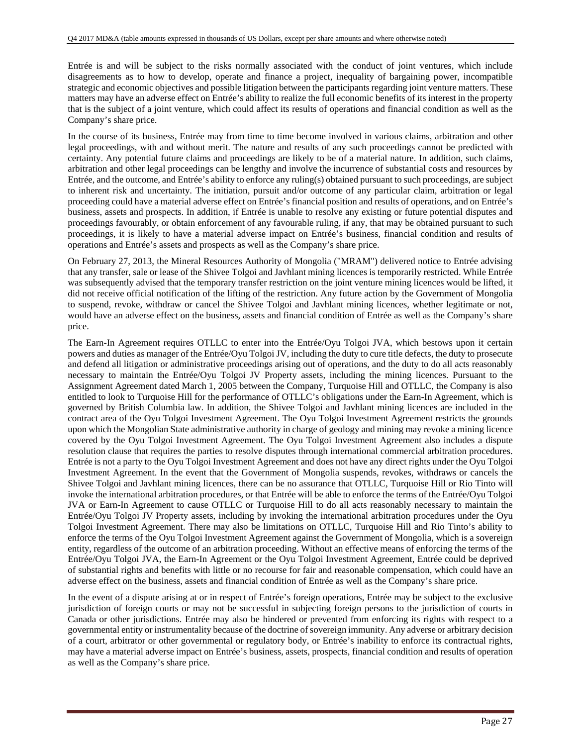Entrée is and will be subject to the risks normally associated with the conduct of joint ventures, which include disagreements as to how to develop, operate and finance a project, inequality of bargaining power, incompatible strategic and economic objectives and possible litigation between the participants regarding joint venture matters. These matters may have an adverse effect on Entrée's ability to realize the full economic benefits of its interest in the property that is the subject of a joint venture, which could affect its results of operations and financial condition as well as the Company's share price.

In the course of its business, Entrée may from time to time become involved in various claims, arbitration and other legal proceedings, with and without merit. The nature and results of any such proceedings cannot be predicted with certainty. Any potential future claims and proceedings are likely to be of a material nature. In addition, such claims, arbitration and other legal proceedings can be lengthy and involve the incurrence of substantial costs and resources by Entrée, and the outcome, and Entrée's ability to enforce any ruling(s) obtained pursuant to such proceedings, are subject to inherent risk and uncertainty. The initiation, pursuit and/or outcome of any particular claim, arbitration or legal proceeding could have a material adverse effect on Entrée's financial position and results of operations, and on Entrée's business, assets and prospects. In addition, if Entrée is unable to resolve any existing or future potential disputes and proceedings favourably, or obtain enforcement of any favourable ruling, if any, that may be obtained pursuant to such proceedings, it is likely to have a material adverse impact on Entrée's business, financial condition and results of operations and Entrée's assets and prospects as well as the Company's share price.

On February 27, 2013, the Mineral Resources Authority of Mongolia ("MRAM") delivered notice to Entrée advising that any transfer, sale or lease of the Shivee Tolgoi and Javhlant mining licences is temporarily restricted. While Entrée was subsequently advised that the temporary transfer restriction on the joint venture mining licences would be lifted, it did not receive official notification of the lifting of the restriction. Any future action by the Government of Mongolia to suspend, revoke, withdraw or cancel the Shivee Tolgoi and Javhlant mining licences, whether legitimate or not, would have an adverse effect on the business, assets and financial condition of Entrée as well as the Company's share price.

The Earn-In Agreement requires OTLLC to enter into the Entrée/Oyu Tolgoi JVA, which bestows upon it certain powers and duties as manager of the Entrée/Oyu Tolgoi JV, including the duty to cure title defects, the duty to prosecute and defend all litigation or administrative proceedings arising out of operations, and the duty to do all acts reasonably necessary to maintain the Entrée/Oyu Tolgoi JV Property assets, including the mining licences. Pursuant to the Assignment Agreement dated March 1, 2005 between the Company, Turquoise Hill and OTLLC, the Company is also entitled to look to Turquoise Hill for the performance of OTLLC's obligations under the Earn-In Agreement, which is governed by British Columbia law. In addition, the Shivee Tolgoi and Javhlant mining licences are included in the contract area of the Oyu Tolgoi Investment Agreement. The Oyu Tolgoi Investment Agreement restricts the grounds upon which the Mongolian State administrative authority in charge of geology and mining may revoke a mining licence covered by the Oyu Tolgoi Investment Agreement. The Oyu Tolgoi Investment Agreement also includes a dispute resolution clause that requires the parties to resolve disputes through international commercial arbitration procedures. Entrée is not a party to the Oyu Tolgoi Investment Agreement and does not have any direct rights under the Oyu Tolgoi Investment Agreement. In the event that the Government of Mongolia suspends, revokes, withdraws or cancels the Shivee Tolgoi and Javhlant mining licences, there can be no assurance that OTLLC, Turquoise Hill or Rio Tinto will invoke the international arbitration procedures, or that Entrée will be able to enforce the terms of the Entrée/Oyu Tolgoi JVA or Earn-In Agreement to cause OTLLC or Turquoise Hill to do all acts reasonably necessary to maintain the Entrée/Oyu Tolgoi JV Property assets, including by invoking the international arbitration procedures under the Oyu Tolgoi Investment Agreement. There may also be limitations on OTLLC, Turquoise Hill and Rio Tinto's ability to enforce the terms of the Oyu Tolgoi Investment Agreement against the Government of Mongolia, which is a sovereign entity, regardless of the outcome of an arbitration proceeding. Without an effective means of enforcing the terms of the Entrée/Oyu Tolgoi JVA, the Earn-In Agreement or the Oyu Tolgoi Investment Agreement, Entrée could be deprived of substantial rights and benefits with little or no recourse for fair and reasonable compensation, which could have an adverse effect on the business, assets and financial condition of Entrée as well as the Company's share price.

In the event of a dispute arising at or in respect of Entrée's foreign operations, Entrée may be subject to the exclusive jurisdiction of foreign courts or may not be successful in subjecting foreign persons to the jurisdiction of courts in Canada or other jurisdictions. Entrée may also be hindered or prevented from enforcing its rights with respect to a governmental entity or instrumentality because of the doctrine of sovereign immunity. Any adverse or arbitrary decision of a court, arbitrator or other governmental or regulatory body, or Entrée's inability to enforce its contractual rights, may have a material adverse impact on Entrée's business, assets, prospects, financial condition and results of operation as well as the Company's share price.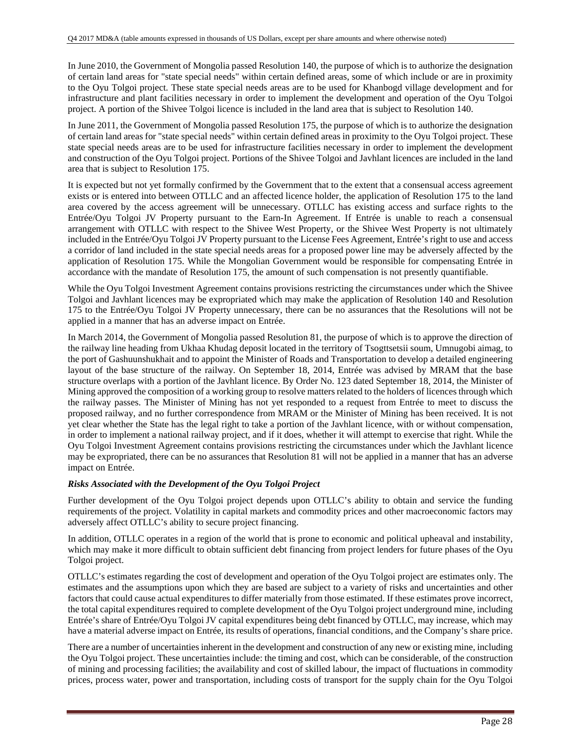In June 2010, the Government of Mongolia passed Resolution 140, the purpose of which is to authorize the designation of certain land areas for "state special needs" within certain defined areas, some of which include or are in proximity to the Oyu Tolgoi project. These state special needs areas are to be used for Khanbogd village development and for infrastructure and plant facilities necessary in order to implement the development and operation of the Oyu Tolgoi project. A portion of the Shivee Tolgoi licence is included in the land area that is subject to Resolution 140.

In June 2011, the Government of Mongolia passed Resolution 175, the purpose of which is to authorize the designation of certain land areas for "state special needs" within certain defined areas in proximity to the Oyu Tolgoi project. These state special needs areas are to be used for infrastructure facilities necessary in order to implement the development and construction of the Oyu Tolgoi project. Portions of the Shivee Tolgoi and Javhlant licences are included in the land area that is subject to Resolution 175.

It is expected but not yet formally confirmed by the Government that to the extent that a consensual access agreement exists or is entered into between OTLLC and an affected licence holder, the application of Resolution 175 to the land area covered by the access agreement will be unnecessary. OTLLC has existing access and surface rights to the Entrée/Oyu Tolgoi JV Property pursuant to the Earn-In Agreement. If Entrée is unable to reach a consensual arrangement with OTLLC with respect to the Shivee West Property, or the Shivee West Property is not ultimately included in the Entrée/Oyu Tolgoi JV Property pursuant to the License Fees Agreement, Entrée's right to use and access a corridor of land included in the state special needs areas for a proposed power line may be adversely affected by the application of Resolution 175. While the Mongolian Government would be responsible for compensating Entrée in accordance with the mandate of Resolution 175, the amount of such compensation is not presently quantifiable.

While the Oyu Tolgoi Investment Agreement contains provisions restricting the circumstances under which the Shivee Tolgoi and Javhlant licences may be expropriated which may make the application of Resolution 140 and Resolution 175 to the Entrée/Oyu Tolgoi JV Property unnecessary, there can be no assurances that the Resolutions will not be applied in a manner that has an adverse impact on Entrée.

In March 2014, the Government of Mongolia passed Resolution 81, the purpose of which is to approve the direction of the railway line heading from Ukhaa Khudag deposit located in the territory of Tsogttsetsii soum, Umnugobi aimag, to the port of Gashuunshukhait and to appoint the Minister of Roads and Transportation to develop a detailed engineering layout of the base structure of the railway. On September 18, 2014, Entrée was advised by MRAM that the base structure overlaps with a portion of the Javhlant licence. By Order No. 123 dated September 18, 2014, the Minister of Mining approved the composition of a working group to resolve matters related to the holders of licences through which the railway passes. The Minister of Mining has not yet responded to a request from Entrée to meet to discuss the proposed railway, and no further correspondence from MRAM or the Minister of Mining has been received. It is not yet clear whether the State has the legal right to take a portion of the Javhlant licence, with or without compensation, in order to implement a national railway project, and if it does, whether it will attempt to exercise that right. While the Oyu Tolgoi Investment Agreement contains provisions restricting the circumstances under which the Javhlant licence may be expropriated, there can be no assurances that Resolution 81 will not be applied in a manner that has an adverse impact on Entrée.

### *Risks Associated with the Development of the Oyu Tolgoi Project*

Further development of the Oyu Tolgoi project depends upon OTLLC's ability to obtain and service the funding requirements of the project. Volatility in capital markets and commodity prices and other macroeconomic factors may adversely affect OTLLC's ability to secure project financing.

In addition, OTLLC operates in a region of the world that is prone to economic and political upheaval and instability, which may make it more difficult to obtain sufficient debt financing from project lenders for future phases of the Oyu Tolgoi project.

OTLLC's estimates regarding the cost of development and operation of the Oyu Tolgoi project are estimates only. The estimates and the assumptions upon which they are based are subject to a variety of risks and uncertainties and other factors that could cause actual expenditures to differ materially from those estimated. If these estimates prove incorrect, the total capital expenditures required to complete development of the Oyu Tolgoi project underground mine, including Entrée's share of Entrée/Oyu Tolgoi JV capital expenditures being debt financed by OTLLC, may increase, which may have a material adverse impact on Entrée, its results of operations, financial conditions, and the Company's share price.

There are a number of uncertainties inherent in the development and construction of any new or existing mine, including the Oyu Tolgoi project. These uncertainties include: the timing and cost, which can be considerable, of the construction of mining and processing facilities; the availability and cost of skilled labour, the impact of fluctuations in commodity prices, process water, power and transportation, including costs of transport for the supply chain for the Oyu Tolgoi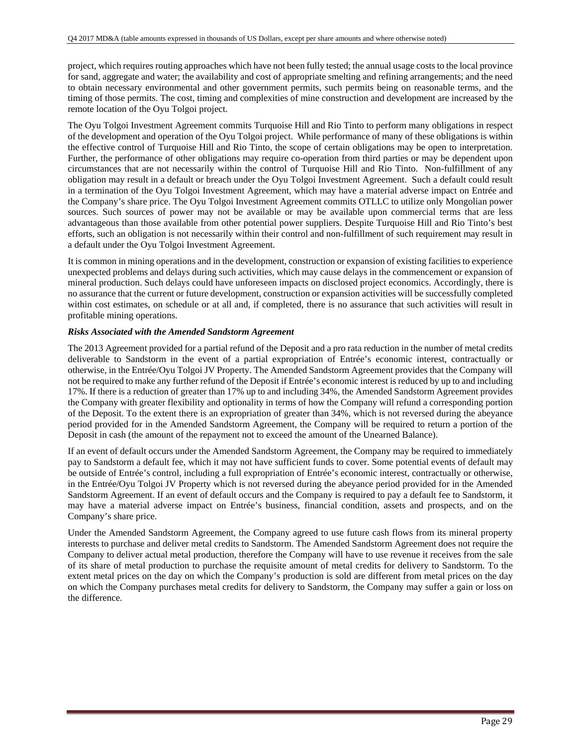project, which requires routing approaches which have not been fully tested; the annual usage costs to the local province for sand, aggregate and water; the availability and cost of appropriate smelting and refining arrangements; and the need to obtain necessary environmental and other government permits, such permits being on reasonable terms, and the timing of those permits. The cost, timing and complexities of mine construction and development are increased by the remote location of the Oyu Tolgoi project.

The Oyu Tolgoi Investment Agreement commits Turquoise Hill and Rio Tinto to perform many obligations in respect of the development and operation of the Oyu Tolgoi project. While performance of many of these obligations is within the effective control of Turquoise Hill and Rio Tinto, the scope of certain obligations may be open to interpretation. Further, the performance of other obligations may require co-operation from third parties or may be dependent upon circumstances that are not necessarily within the control of Turquoise Hill and Rio Tinto. Non-fulfillment of any obligation may result in a default or breach under the Oyu Tolgoi Investment Agreement. Such a default could result in a termination of the Oyu Tolgoi Investment Agreement, which may have a material adverse impact on Entrée and the Company's share price. The Oyu Tolgoi Investment Agreement commits OTLLC to utilize only Mongolian power sources. Such sources of power may not be available or may be available upon commercial terms that are less advantageous than those available from other potential power suppliers. Despite Turquoise Hill and Rio Tinto's best efforts, such an obligation is not necessarily within their control and non-fulfillment of such requirement may result in a default under the Oyu Tolgoi Investment Agreement.

It is common in mining operations and in the development, construction or expansion of existing facilities to experience unexpected problems and delays during such activities, which may cause delays in the commencement or expansion of mineral production. Such delays could have unforeseen impacts on disclosed project economics. Accordingly, there is no assurance that the current or future development, construction or expansion activities will be successfully completed within cost estimates, on schedule or at all and, if completed, there is no assurance that such activities will result in profitable mining operations.

### *Risks Associated with the Amended Sandstorm Agreement*

The 2013 Agreement provided for a partial refund of the Deposit and a pro rata reduction in the number of metal credits deliverable to Sandstorm in the event of a partial expropriation of Entrée's economic interest, contractually or otherwise, in the Entrée/Oyu Tolgoi JV Property. The Amended Sandstorm Agreement provides that the Company will not be required to make any further refund of the Deposit if Entrée's economic interest is reduced by up to and including 17%. If there is a reduction of greater than 17% up to and including 34%, the Amended Sandstorm Agreement provides the Company with greater flexibility and optionality in terms of how the Company will refund a corresponding portion of the Deposit. To the extent there is an expropriation of greater than 34%, which is not reversed during the abeyance period provided for in the Amended Sandstorm Agreement, the Company will be required to return a portion of the Deposit in cash (the amount of the repayment not to exceed the amount of the Unearned Balance).

If an event of default occurs under the Amended Sandstorm Agreement, the Company may be required to immediately pay to Sandstorm a default fee, which it may not have sufficient funds to cover. Some potential events of default may be outside of Entrée's control, including a full expropriation of Entrée's economic interest, contractually or otherwise, in the Entrée/Oyu Tolgoi JV Property which is not reversed during the abeyance period provided for in the Amended Sandstorm Agreement. If an event of default occurs and the Company is required to pay a default fee to Sandstorm, it may have a material adverse impact on Entrée's business, financial condition, assets and prospects, and on the Company's share price.

Under the Amended Sandstorm Agreement, the Company agreed to use future cash flows from its mineral property interests to purchase and deliver metal credits to Sandstorm. The Amended Sandstorm Agreement does not require the Company to deliver actual metal production, therefore the Company will have to use revenue it receives from the sale of its share of metal production to purchase the requisite amount of metal credits for delivery to Sandstorm. To the extent metal prices on the day on which the Company's production is sold are different from metal prices on the day on which the Company purchases metal credits for delivery to Sandstorm, the Company may suffer a gain or loss on the difference.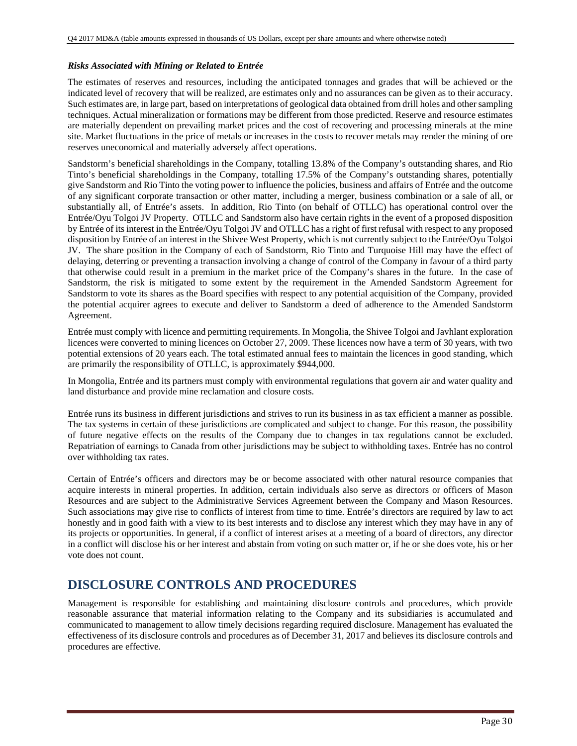### *Risks Associated with Mining or Related to Entrée*

The estimates of reserves and resources, including the anticipated tonnages and grades that will be achieved or the indicated level of recovery that will be realized, are estimates only and no assurances can be given as to their accuracy. Such estimates are, in large part, based on interpretations of geological data obtained from drill holes and other sampling techniques. Actual mineralization or formations may be different from those predicted. Reserve and resource estimates are materially dependent on prevailing market prices and the cost of recovering and processing minerals at the mine site. Market fluctuations in the price of metals or increases in the costs to recover metals may render the mining of ore reserves uneconomical and materially adversely affect operations.

Sandstorm's beneficial shareholdings in the Company, totalling 13.8% of the Company's outstanding shares, and Rio Tinto's beneficial shareholdings in the Company, totalling 17.5% of the Company's outstanding shares, potentially give Sandstorm and Rio Tinto the voting power to influence the policies, business and affairs of Entrée and the outcome of any significant corporate transaction or other matter, including a merger, business combination or a sale of all, or substantially all, of Entrée's assets. In addition, Rio Tinto (on behalf of OTLLC) has operational control over the Entrée/Oyu Tolgoi JV Property. OTLLC and Sandstorm also have certain rights in the event of a proposed disposition by Entrée of its interest in the Entrée/Oyu Tolgoi JV and OTLLC has a right of first refusal with respect to any proposed disposition by Entrée of an interest in the Shivee West Property, which is not currently subject to the Entrée/Oyu Tolgoi JV. The share position in the Company of each of Sandstorm, Rio Tinto and Turquoise Hill may have the effect of delaying, deterring or preventing a transaction involving a change of control of the Company in favour of a third party that otherwise could result in a premium in the market price of the Company's shares in the future. In the case of Sandstorm, the risk is mitigated to some extent by the requirement in the Amended Sandstorm Agreement for Sandstorm to vote its shares as the Board specifies with respect to any potential acquisition of the Company, provided the potential acquirer agrees to execute and deliver to Sandstorm a deed of adherence to the Amended Sandstorm Agreement.

Entrée must comply with licence and permitting requirements. In Mongolia, the Shivee Tolgoi and Javhlant exploration licences were converted to mining licences on October 27, 2009. These licences now have a term of 30 years, with two potential extensions of 20 years each. The total estimated annual fees to maintain the licences in good standing, which are primarily the responsibility of OTLLC, is approximately \$944,000.

In Mongolia, Entrée and its partners must comply with environmental regulations that govern air and water quality and land disturbance and provide mine reclamation and closure costs.

Entrée runs its business in different jurisdictions and strives to run its business in as tax efficient a manner as possible. The tax systems in certain of these jurisdictions are complicated and subject to change. For this reason, the possibility of future negative effects on the results of the Company due to changes in tax regulations cannot be excluded. Repatriation of earnings to Canada from other jurisdictions may be subject to withholding taxes. Entrée has no control over withholding tax rates.

Certain of Entrée's officers and directors may be or become associated with other natural resource companies that acquire interests in mineral properties. In addition, certain individuals also serve as directors or officers of Mason Resources and are subject to the Administrative Services Agreement between the Company and Mason Resources. Such associations may give rise to conflicts of interest from time to time. Entrée's directors are required by law to act honestly and in good faith with a view to its best interests and to disclose any interest which they may have in any of its projects or opportunities. In general, if a conflict of interest arises at a meeting of a board of directors, any director in a conflict will disclose his or her interest and abstain from voting on such matter or, if he or she does vote, his or her vote does not count.

## **DISCLOSURE CONTROLS AND PROCEDURES**

Management is responsible for establishing and maintaining disclosure controls and procedures, which provide reasonable assurance that material information relating to the Company and its subsidiaries is accumulated and communicated to management to allow timely decisions regarding required disclosure. Management has evaluated the effectiveness of its disclosure controls and procedures as of December 31, 2017 and believes its disclosure controls and procedures are effective.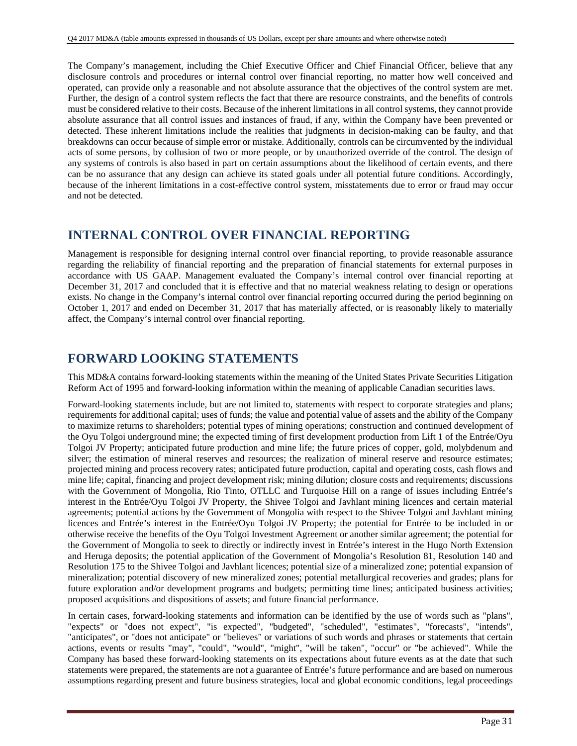The Company's management, including the Chief Executive Officer and Chief Financial Officer, believe that any disclosure controls and procedures or internal control over financial reporting, no matter how well conceived and operated, can provide only a reasonable and not absolute assurance that the objectives of the control system are met. Further, the design of a control system reflects the fact that there are resource constraints, and the benefits of controls must be considered relative to their costs. Because of the inherent limitations in all control systems, they cannot provide absolute assurance that all control issues and instances of fraud, if any, within the Company have been prevented or detected. These inherent limitations include the realities that judgments in decision-making can be faulty, and that breakdowns can occur because of simple error or mistake. Additionally, controls can be circumvented by the individual acts of some persons, by collusion of two or more people, or by unauthorized override of the control. The design of any systems of controls is also based in part on certain assumptions about the likelihood of certain events, and there can be no assurance that any design can achieve its stated goals under all potential future conditions. Accordingly, because of the inherent limitations in a cost-effective control system, misstatements due to error or fraud may occur and not be detected.

# **INTERNAL CONTROL OVER FINANCIAL REPORTING**

Management is responsible for designing internal control over financial reporting, to provide reasonable assurance regarding the reliability of financial reporting and the preparation of financial statements for external purposes in accordance with US GAAP. Management evaluated the Company's internal control over financial reporting at December 31, 2017 and concluded that it is effective and that no material weakness relating to design or operations exists. No change in the Company's internal control over financial reporting occurred during the period beginning on October 1, 2017 and ended on December 31, 2017 that has materially affected, or is reasonably likely to materially affect, the Company's internal control over financial reporting.

# **FORWARD LOOKING STATEMENTS**

This MD&A contains forward-looking statements within the meaning of the United States Private Securities Litigation Reform Act of 1995 and forward-looking information within the meaning of applicable Canadian securities laws.

Forward-looking statements include, but are not limited to, statements with respect to corporate strategies and plans; requirements for additional capital; uses of funds; the value and potential value of assets and the ability of the Company to maximize returns to shareholders; potential types of mining operations; construction and continued development of the Oyu Tolgoi underground mine; the expected timing of first development production from Lift 1 of the Entrée/Oyu Tolgoi JV Property; anticipated future production and mine life; the future prices of copper, gold, molybdenum and silver; the estimation of mineral reserves and resources; the realization of mineral reserve and resource estimates; projected mining and process recovery rates; anticipated future production, capital and operating costs, cash flows and mine life; capital, financing and project development risk; mining dilution; closure costs and requirements; discussions with the Government of Mongolia, Rio Tinto, OTLLC and Turquoise Hill on a range of issues including Entrée's interest in the Entrée/Oyu Tolgoi JV Property, the Shivee Tolgoi and Javhlant mining licences and certain material agreements; potential actions by the Government of Mongolia with respect to the Shivee Tolgoi and Javhlant mining licences and Entrée's interest in the Entrée/Oyu Tolgoi JV Property; the potential for Entrée to be included in or otherwise receive the benefits of the Oyu Tolgoi Investment Agreement or another similar agreement; the potential for the Government of Mongolia to seek to directly or indirectly invest in Entrée's interest in the Hugo North Extension and Heruga deposits; the potential application of the Government of Mongolia's Resolution 81, Resolution 140 and Resolution 175 to the Shivee Tolgoi and Javhlant licences; potential size of a mineralized zone; potential expansion of mineralization; potential discovery of new mineralized zones; potential metallurgical recoveries and grades; plans for future exploration and/or development programs and budgets; permitting time lines; anticipated business activities; proposed acquisitions and dispositions of assets; and future financial performance.

In certain cases, forward-looking statements and information can be identified by the use of words such as "plans", "expects" or "does not expect", "is expected", "budgeted", "scheduled", "estimates", "forecasts", "intends", "anticipates", or "does not anticipate" or "believes" or variations of such words and phrases or statements that certain actions, events or results "may", "could", "would", "might", "will be taken", "occur" or "be achieved". While the Company has based these forward-looking statements on its expectations about future events as at the date that such statements were prepared, the statements are not a guarantee of Entrée's future performance and are based on numerous assumptions regarding present and future business strategies, local and global economic conditions, legal proceedings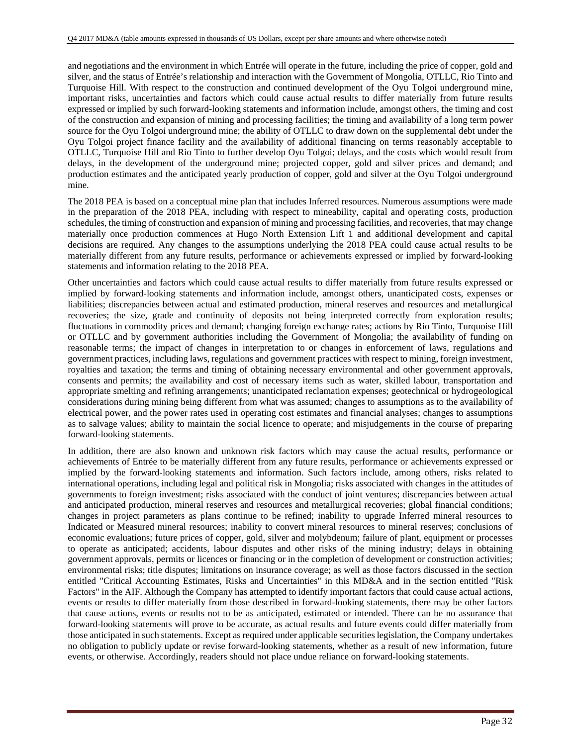and negotiations and the environment in which Entrée will operate in the future, including the price of copper, gold and silver, and the status of Entrée's relationship and interaction with the Government of Mongolia, OTLLC, Rio Tinto and Turquoise Hill. With respect to the construction and continued development of the Oyu Tolgoi underground mine, important risks, uncertainties and factors which could cause actual results to differ materially from future results expressed or implied by such forward-looking statements and information include, amongst others, the timing and cost of the construction and expansion of mining and processing facilities; the timing and availability of a long term power source for the Oyu Tolgoi underground mine; the ability of OTLLC to draw down on the supplemental debt under the Oyu Tolgoi project finance facility and the availability of additional financing on terms reasonably acceptable to OTLLC, Turquoise Hill and Rio Tinto to further develop Oyu Tolgoi; delays, and the costs which would result from delays, in the development of the underground mine; projected copper, gold and silver prices and demand; and production estimates and the anticipated yearly production of copper, gold and silver at the Oyu Tolgoi underground mine.

The 2018 PEA is based on a conceptual mine plan that includes Inferred resources. Numerous assumptions were made in the preparation of the 2018 PEA, including with respect to mineability, capital and operating costs, production schedules, the timing of construction and expansion of mining and processing facilities, and recoveries, that may change materially once production commences at Hugo North Extension Lift 1 and additional development and capital decisions are required. Any changes to the assumptions underlying the 2018 PEA could cause actual results to be materially different from any future results, performance or achievements expressed or implied by forward-looking statements and information relating to the 2018 PEA.

Other uncertainties and factors which could cause actual results to differ materially from future results expressed or implied by forward-looking statements and information include, amongst others, unanticipated costs, expenses or liabilities; discrepancies between actual and estimated production, mineral reserves and resources and metallurgical recoveries; the size, grade and continuity of deposits not being interpreted correctly from exploration results; fluctuations in commodity prices and demand; changing foreign exchange rates; actions by Rio Tinto, Turquoise Hill or OTLLC and by government authorities including the Government of Mongolia; the availability of funding on reasonable terms; the impact of changes in interpretation to or changes in enforcement of laws, regulations and government practices, including laws, regulations and government practices with respect to mining, foreign investment, royalties and taxation; the terms and timing of obtaining necessary environmental and other government approvals, consents and permits; the availability and cost of necessary items such as water, skilled labour, transportation and appropriate smelting and refining arrangements; unanticipated reclamation expenses; geotechnical or hydrogeological considerations during mining being different from what was assumed; changes to assumptions as to the availability of electrical power, and the power rates used in operating cost estimates and financial analyses; changes to assumptions as to salvage values; ability to maintain the social licence to operate; and misjudgements in the course of preparing forward-looking statements.

In addition, there are also known and unknown risk factors which may cause the actual results, performance or achievements of Entrée to be materially different from any future results, performance or achievements expressed or implied by the forward-looking statements and information. Such factors include, among others, risks related to international operations, including legal and political risk in Mongolia; risks associated with changes in the attitudes of governments to foreign investment; risks associated with the conduct of joint ventures; discrepancies between actual and anticipated production, mineral reserves and resources and metallurgical recoveries; global financial conditions; changes in project parameters as plans continue to be refined; inability to upgrade Inferred mineral resources to Indicated or Measured mineral resources; inability to convert mineral resources to mineral reserves; conclusions of economic evaluations; future prices of copper, gold, silver and molybdenum; failure of plant, equipment or processes to operate as anticipated; accidents, labour disputes and other risks of the mining industry; delays in obtaining government approvals, permits or licences or financing or in the completion of development or construction activities; environmental risks; title disputes; limitations on insurance coverage; as well as those factors discussed in the section entitled "Critical Accounting Estimates, Risks and Uncertainties" in this MD&A and in the section entitled "Risk Factors" in the AIF. Although the Company has attempted to identify important factors that could cause actual actions, events or results to differ materially from those described in forward-looking statements, there may be other factors that cause actions, events or results not to be as anticipated, estimated or intended. There can be no assurance that forward-looking statements will prove to be accurate, as actual results and future events could differ materially from those anticipated in such statements. Except as required under applicable securities legislation, the Company undertakes no obligation to publicly update or revise forward-looking statements, whether as a result of new information, future events, or otherwise. Accordingly, readers should not place undue reliance on forward-looking statements.